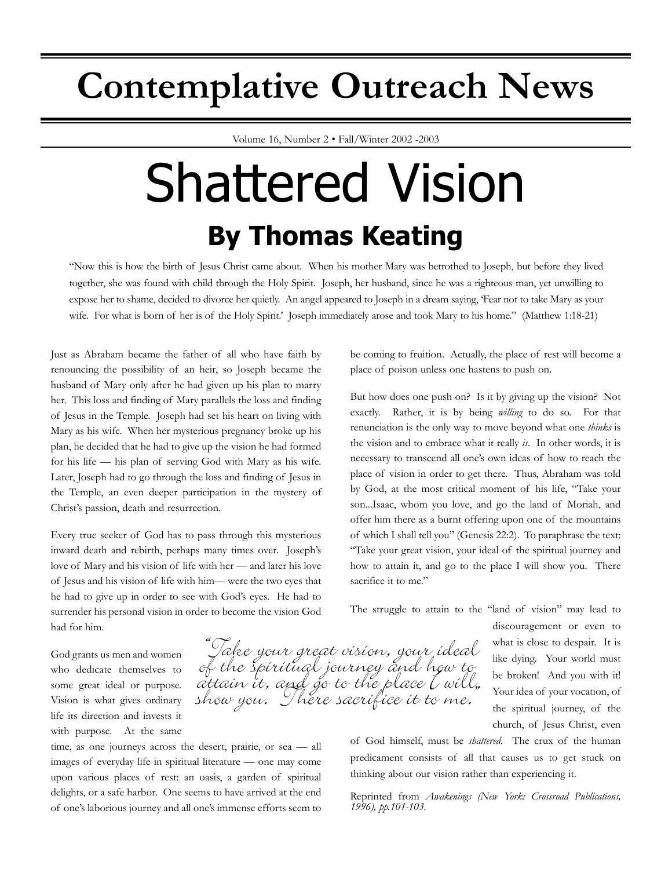## **Contemplative Outreach News**

Volume 16, Number 2 • Fall/Winter 2002 -2003

# Shattered Vision **By Thomas Keating**

"Now this is how the birth of Jesus Christ came about. When his mother Mary was betrothed to Joseph, but before they lived together, she was found with child through the Holy Spirit. Joseph, her husband, since he was a righteous man, yet unwilling to expose her to shame, decided to divorce her quietly. An angel appeared to Joseph in a dream saying, 'Fear not to take Mary as your wife. For what is born of her is of the Holy Spirit.' Joseph immediately arose and took Mary to his home." (Matthew 1:18-21)

"Take your great vision, your ideal

Javee your yrear orsion, your inear<br>of the spiritual journey and how to<br>attain it, and go to the place [will,

Just as Abraham became the father of all who have faith by renouncing the possibility of an heir, so Joseph became the husband of Mary only after he had given up his plan to marry her. This loss and finding of Mary parallels the loss and finding of Jesus in the Temple. Joseph had set his heart on living with Mary as his wife. When her mysterious pregnancy broke up his plan, he decided that he had to give up the vision he had formed for his life — his plan of serving God with Mary as his wife. Later, Joseph had to go through the loss and finding of Jesus in the Temple, an even deeper participation in the mystery of Christ's passion, death and resurrection.

Every true seeker of God has to pass through this mysterious inward death and rebirth, perhaps many times over. Joseph's love of Mary and his vision of life with her — and later his love of Jesus and his vision of life with him— were the two eyes that he had to give up in order to see with God's eyes. He had to surrender his personal vision in order to become the vision God had for him.

God grants us men and women who dedicate themselves to some great ideal or purpose. Vision is what gives ordinary life its direction and invests it with purpose. At the same

time, as one journeys across the desert, prairie, or sea — all images of everyday life in spiritual literature — one may come upon various places of rest: an oasis, a garden of spiritual delights, or a safe harbor. One seems to have arrived at the end of one's laborious journey and all one's immense efforts seem to be coming to fruition. Actually, the place of rest will become a place of poison unless one hastens to push on.

But how does one push on? Is it by giving up the vision? Not exactly. Rather, it is by being *willing* to do so. For that renunciation is the only way to move beyond what one *thinks* is the vision and to embrace what it really *is*. In other words, it is necessary to transcend all one's own ideas of how to reach the place of vision in order to get there. Thus, Abraham was told by God, at the most critical moment of his life, "Take your son...Isaac, whom you love, and go the land of Moriah, and offer him there as a burnt offering upon one of the mountains of which I shall tell you" (Genesis 22:2). To paraphrase the text: "Take your great vision, your ideal of the spiritual journey and how to attain it, and go to the place I will show you. There sacrifice it to me."

The struggle to attain to the "land of vision" may lead to

discouragement or even to what is close to despair. It is like dying. Your world must be broken! And you with it! Your idea of your vocation, of the spiritual journey, of the church, of Jesus Christ, even

of God himself, must be *shattered*. The crux of the human predicament consists of all that causes us to get stuck on thinking about our vision rather than experiencing it.

Reprinted from *Awakenings (New York: Crossroad Publications, 1996), pp.101-103.*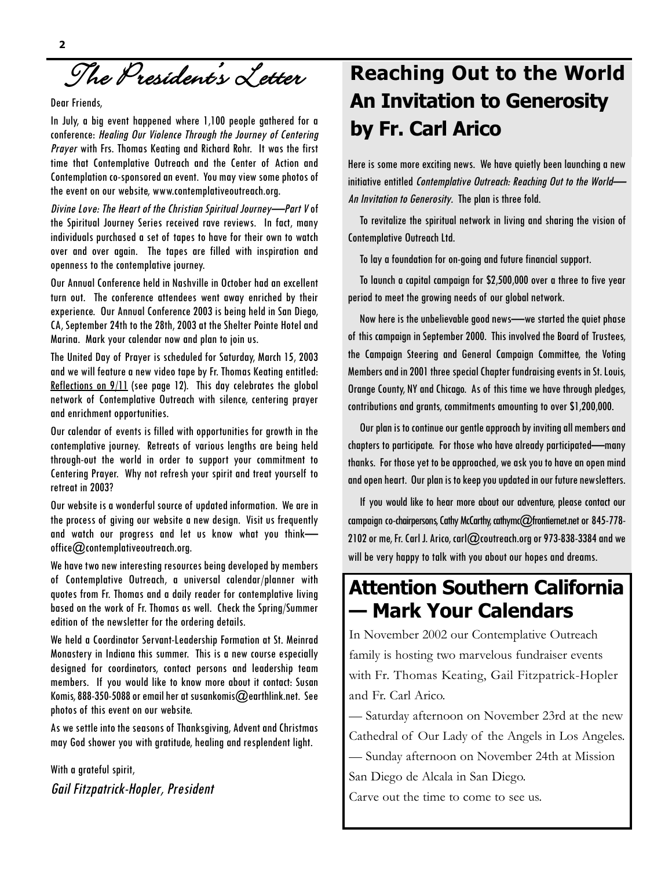The President's Letter

#### Dear Friends,

In July, a big event happened where 1,100 people gathered for a conference: Healing Our Violence Through the Journey of Centering Prayer with Frs. Thomas Keating and Richard Rohr. It was the first time that Contemplative Outreach and the Center of Action and Contemplation co-sponsored an event. You may view some photos of the event on our website, www.contemplativeoutreach.org.

Divine Love: The Heart of the Christian Spiritual Journey—Part V of the Spiritual Journey Series received rave reviews. In fact, many individuals purchased a set of tapes to have for their own to watch over and over again. The tapes are filled with inspiration and openness to the contemplative journey.

Our Annual Conference held in Nashville in October had an excellent turn out. The conference attendees went away enriched by their experience. Our Annual Conference 2003 is being held in San Diego, CA, September 24th to the 28th, 2003 at the Shelter Pointe Hotel and Marina. Mark your calendar now and plan to join us.

The United Day of Prayer is scheduled for Saturday, March 15, 2003 and we will feature a new video tape by Fr. Thomas Keating entitled: Reflections on 9/11 (see page 12). This day celebrates the global network of Contemplative Outreach with silence, centering prayer and enrichment opportunities.

Our calendar of events is filled with opportunities for growth in the contemplative journey. Retreats of various lengths are being held through-out the world in order to support your commitment to Centering Prayer. Why not refresh your spirit and treat yourself to retreat in 2003?

Our website is a wonderful source of updated information. We are in the process of giving our website a new design. Visit us frequently and watch our progress and let us know what you think office@contemplativeoutreach.org.

We have two new interesting resources being developed by members of Contemplative Outreach, a universal calendar/planner with quotes from Fr. Thomas and a daily reader for contemplative living based on the work of Fr. Thomas as well. Check the Spring/Summer edition of the newsletter for the ordering details.

We held a Coordinator Servant-Leadership Formation at St. Meinrad Monastery in Indiana this summer. This is a new course especially designed for coordinators, contact persons and leadership team members. If you would like to know more about it contact: Susan Komis, 888-350-5088 or email her at susankomis@earthlink.net. See photos of this event on our website.

As we settle into the seasons of Thanksgiving, Advent and Christmas may God shower you with gratitude, healing and resplendent light.

With a grateful spirit, Gail Fitzpatrick-Hopler, President

### **Reaching Out to the World An Invitation to Generosity by Fr. Carl Arico**

Here is some more exciting news. We have quietly been launching a new initiative entitled Contemplative Outreach: Reaching Out to the World— An Invitation to Generosity. The plan is three fold.

To revitalize the spiritual network in living and sharing the vision of Contemplative Outreach Ltd.

To lay a foundation for on-going and future financial support.

To launch a capital campaign for \$2,500,000 over a three to five year period to meet the growing needs of our global network.

Now here is the unbelievable good news—we started the quiet phase of this campaign in September 2000. This involved the Board of Trustees, the Campaign Steering and General Campaign Committee, the Voting Members and in 2001 three special Chapter fundraising events in St. Louis, Orange County, NY and Chicago. As of this time we have through pledges, contributions and grants, commitments amounting to over \$1,200,000.

Our plan is to continue our gentle approach by inviting all members and chapters to participate. For those who have already participated—many thanks. For those yet to be approached, we ask you to have an open mind and open heart. Our plan is to keep you updated in our future newsletters.

If you would like to hear more about our adventure, please contact our campaign co-chairpersons, Cathy McCarthy, cathymc@frontiernet.net or 845-778- 2102 or me, Fr. Carl J. Arico, carl@coutreach.org or 973-838-3384 and we will be very happy to talk with you about our hopes and dreams.

### **Attention Southern California — Mark Your Calendars**

In November 2002 our Contemplative Outreach family is hosting two marvelous fundraiser events with Fr. Thomas Keating, Gail Fitzpatrick-Hopler and Fr. Carl Arico.

— Saturday afternoon on November 23rd at the new Cathedral of Our Lady of the Angels in Los Angeles.

— Sunday afternoon on November 24th at Mission

San Diego de Alcala in San Diego.

Carve out the time to come to see us.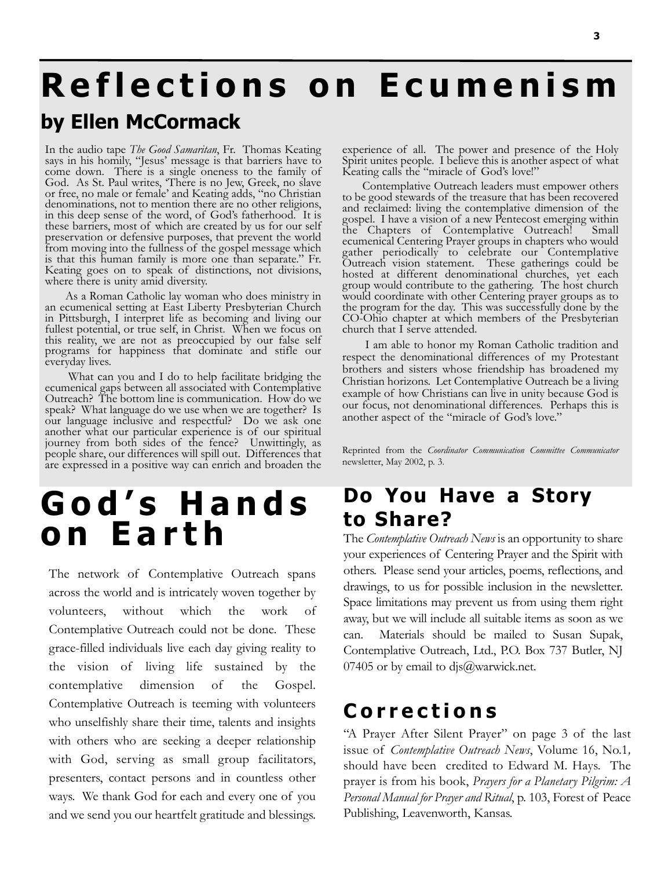## **Reflections on Ecumenism by Ellen McCormack**

In the audio tape *The Good Samaritan*, Fr. Thomas Keating says in his homily, "Jesus' message is that barriers have to come down. There is a single oneness to the family of God. As St. Paul writes, 'There is no Jew, Greek, no slave or free, no male or female' and Keating adds, "no Christian denominations, not to mention there are no other religions, in this deep sense of the word, of God's fatherhood. It is these barriers, most of which are created by us for our self preservation or defensive purposes, that prevent the world from moving into the fullness of the gospel message which is that this human family is more one than separate." Fr. Keating goes on to speak of distinctions, not divisions, where there is unity amid diversity.

As a Roman Catholic lay woman who does ministry in an ecumenical setting at East Liberty Presbyterian Church in Pittsburgh, I interpret life as becoming and living our fullest potential, or true self, in Christ. When we focus on this reality, we are not as preoccupied by our false self programs for happiness that dominate and stifle our everyday lives.

What can you and I do to help facilitate bridging the ecumenical gaps between all associated with Contemplative Outreach? The bottom line is communication. How do we speak? What language do we use when we are together? Is our language inclusive and respectful? Do we ask one another what our particular experience is of our spiritual journey from both sides of the fence? Unwittingly, as people share, our differences will spill out. Differences that are expressed in a positive way can enrich and broaden the

## **God's Hands on Earth**

The network of Contemplative Outreach spans across the world and is intricately woven together by volunteers, without which the work of Contemplative Outreach could not be done. These grace-filled individuals live each day giving reality to the vision of living life sustained by the contemplative dimension of the Gospel. Contemplative Outreach is teeming with volunteers who unselfishly share their time, talents and insights with others who are seeking a deeper relationship with God, serving as small group facilitators, presenters, contact persons and in countless other ways. We thank God for each and every one of you and we send you our heartfelt gratitude and blessings.

experience of all. The power and presence of the Holy Spirit unites people. I believe this is another aspect of what Keating calls the "miracle of God's love!"

Contemplative Outreach leaders must empower others to be good stewards of the treasure that has been recovered and reclaimed: living the contemplative dimension of the gospel. I have a vision of a new Pentecost emerging within the Chapters of Contemplative Outreach! Small ecumenical Centering Prayer groups in chapters who would gather periodically to celebrate our Contemplative Outreach vision statement. These gatherings could be hosted at different denominational churches, yet each group would contribute to the gathering. The host church would coordinate with other Centering prayer groups as to the program for the day. This was successfully done by the CO-Ohio chapter at which members of the Presbyterian church that I serve attended.

I am able to honor my Roman Catholic tradition and respect the denominational differences of my Protestant brothers and sisters whose friendship has broadened my Christian horizons. Let Contemplative Outreach be a living example of how Christians can live in unity because God is our focus, not denominational differences. Perhaps this is another aspect of the "miracle of God's love."

Reprinted from the *Coordinator Communication Committee Communicator* newsletter, May 2002, p. 3.

### **Do You Have a Story to Share?**

The *Contemplative Outreach News* is an opportunity to share your experiences of Centering Prayer and the Spirit with others. Please send your articles, poems, reflections, and drawings, to us for possible inclusion in the newsletter. Space limitations may prevent us from using them right away, but we will include all suitable items as soon as we can. Materials should be mailed to Susan Supak, Contemplative Outreach, Ltd., P.O. Box 737 Butler, NJ 07405 or by email to djs $@$ warwick.net.

### **Corrections**

"A Prayer After Silent Prayer" on page 3 of the last issue of *Contemplative Outreach News*, Volume 16, No.1*,* should have been credited to Edward M. Hays. The prayer is from his book, *Prayers for a Planetary Pilgrim: A Personal Manual for Prayer and Ritual*, p. 103, Forest of Peace Publishing, Leavenworth, Kansas.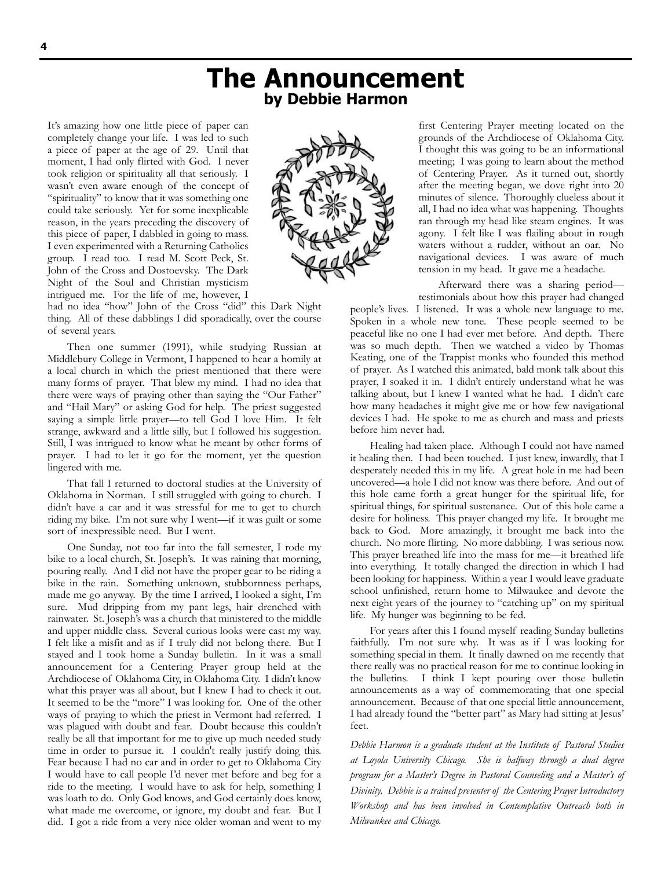### **The Announcement by Debbie Harmon**

It's amazing how one little piece of paper can completely change your life. I was led to such a piece of paper at the age of 29. Until that moment, I had only flirted with God. I never took religion or spirituality all that seriously. I wasn't even aware enough of the concept of "spirituality" to know that it was something one could take seriously. Yet for some inexplicable reason, in the years preceding the discovery of this piece of paper, I dabbled in going to mass. I even experimented with a Returning Catholics group. I read too. I read M. Scott Peck, St. John of the Cross and Dostoevsky. The Dark Night of the Soul and Christian mysticism intrigued me. For the life of me, however, I



had no idea "how" John of the Cross "did" this Dark Night thing. All of these dabblings I did sporadically, over the course of several years.

Then one summer (1991), while studying Russian at Middlebury College in Vermont, I happened to hear a homily at a local church in which the priest mentioned that there were many forms of prayer. That blew my mind. I had no idea that there were ways of praying other than saying the "Our Father" and "Hail Mary" or asking God for help. The priest suggested saying a simple little prayer—to tell God I love Him. It felt strange, awkward and a little silly, but I followed his suggestion. Still, I was intrigued to know what he meant by other forms of prayer. I had to let it go for the moment, yet the question lingered with me.

That fall I returned to doctoral studies at the University of Oklahoma in Norman. I still struggled with going to church. I didn't have a car and it was stressful for me to get to church riding my bike. I'm not sure why I went—if it was guilt or some sort of inexpressible need. But I went.

One Sunday, not too far into the fall semester, I rode my bike to a local church, St. Joseph's. It was raining that morning, pouring really. And I did not have the proper gear to be riding a bike in the rain. Something unknown, stubbornness perhaps, made me go anyway. By the time I arrived, I looked a sight, I'm sure. Mud dripping from my pant legs, hair drenched with rainwater. St. Joseph's was a church that ministered to the middle and upper middle class. Several curious looks were cast my way. I felt like a misfit and as if I truly did not belong there. But I stayed and I took home a Sunday bulletin. In it was a small announcement for a Centering Prayer group held at the Archdiocese of Oklahoma City, in Oklahoma City. I didn't know what this prayer was all about, but I knew I had to check it out. It seemed to be the "more" I was looking for. One of the other ways of praying to which the priest in Vermont had referred. I was plagued with doubt and fear. Doubt because this couldn't really be all that important for me to give up much needed study time in order to pursue it. I couldn't really justify doing this. Fear because I had no car and in order to get to Oklahoma City I would have to call people I'd never met before and beg for a ride to the meeting. I would have to ask for help, something I was loath to do. Only God knows, and God certainly does know, what made me overcome, or ignore, my doubt and fear. But I did. I got a ride from a very nice older woman and went to my first Centering Prayer meeting located on the grounds of the Archdiocese of Oklahoma City. I thought this was going to be an informational meeting; I was going to learn about the method of Centering Prayer. As it turned out, shortly after the meeting began, we dove right into 20 minutes of silence. Thoroughly clueless about it all, I had no idea what was happening. Thoughts ran through my head like steam engines. It was agony. I felt like I was flailing about in rough waters without a rudder, without an oar. No navigational devices. I was aware of much tension in my head. It gave me a headache.

Afterward there was a sharing period testimonials about how this prayer had changed

people's lives. I listened. It was a whole new language to me. Spoken in a whole new tone. These people seemed to be peaceful like no one I had ever met before. And depth. There was so much depth. Then we watched a video by Thomas Keating, one of the Trappist monks who founded this method of prayer. As I watched this animated, bald monk talk about this prayer, I soaked it in. I didn't entirely understand what he was talking about, but I knew I wanted what he had. I didn't care how many headaches it might give me or how few navigational devices I had. He spoke to me as church and mass and priests before him never had.

Healing had taken place. Although I could not have named it healing then. I had been touched. I just knew, inwardly, that I desperately needed this in my life. A great hole in me had been uncovered—a hole I did not know was there before. And out of this hole came forth a great hunger for the spiritual life, for spiritual things, for spiritual sustenance. Out of this hole came a desire for holiness. This prayer changed my life. It brought me back to God. More amazingly, it brought me back into the church. No more flirting. No more dabbling. I was serious now. This prayer breathed life into the mass for me—it breathed life into everything. It totally changed the direction in which I had been looking for happiness. Within a year I would leave graduate school unfinished, return home to Milwaukee and devote the next eight years of the journey to "catching up" on my spiritual life. My hunger was beginning to be fed.

For years after this I found myself reading Sunday bulletins faithfully. I'm not sure why. It was as if I was looking for something special in them. It finally dawned on me recently that there really was no practical reason for me to continue looking in the bulletins. I think I kept pouring over those bulletin announcements as a way of commemorating that one special announcement. Because of that one special little announcement, I had already found the "better part" as Mary had sitting at Jesus' feet.

*Debbie Harmon is a graduate student at the Institute of Pastoral Studies at Loyola University Chicago. She is halfway through a dual degree program for a Master's Degree in Pastoral Counseling and a Master's of Divinity. Debbie is a trained presenter of the Centering Prayer Introductory Workshop and has been involved in Contemplative Outreach both in Milwaukee and Chicago.*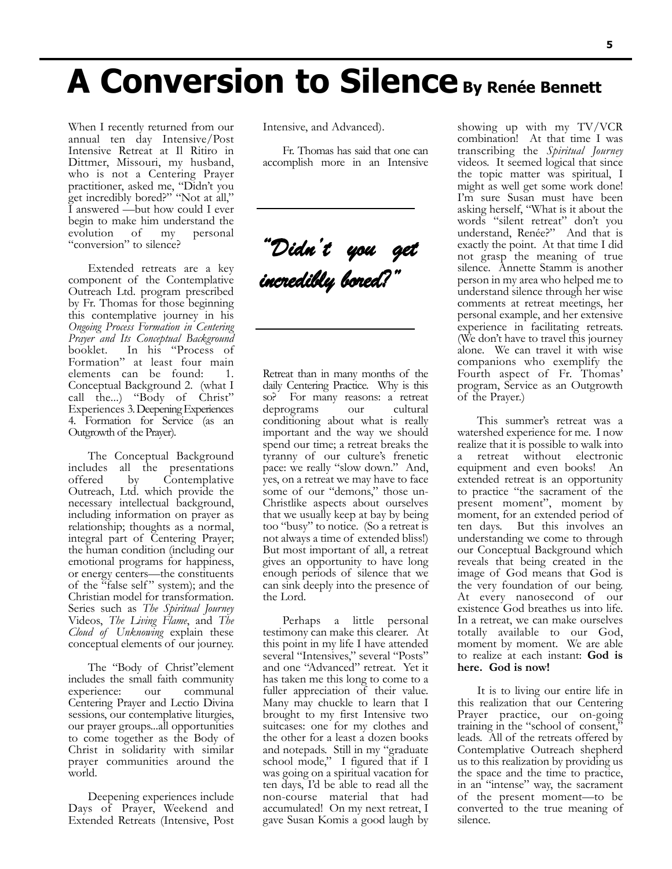When I recently returned from our annual ten day Intensive/Post Intensive Retreat at Il Ritiro in Dittmer, Missouri, my husband, who is not a Centering Prayer practitioner, asked me, "Didn't you get incredibly bored?" "Not at all," I answered —but how could I ever begin to make him understand the evolution of my personal "conversion" to silence?

Extended retreats are a key component of the Contemplative Outreach Ltd. program prescribed by Fr. Thomas for those beginning this contemplative journey in his *Ongoing Process Formation in Centering Prayer and Its Conceptual Background* In his "Process of Formation" at least four main elements can be found: 1. Conceptual Background 2. (what I call the...) "Body of Christ" Experiences 3.Deepening Experiences 4. Formation for Service (as an Outgrowth of the Prayer).

The Conceptual Background includes all the presentations offered by Contemplative Outreach, Ltd. which provide the necessary intellectual background, including information on prayer as relationship; thoughts as a normal, integral part of Centering Prayer; the human condition (including our emotional programs for happiness, or energy centers—the constituents of the "false self" system); and the Christian model for transformation. Series such as *The Spiritual Journey* Videos, *The Living Flame*, and *The Cloud of Unknowing* explain these conceptual elements of our journey.

The "Body of Christ"element includes the small faith community experience: our Centering Prayer and Lectio Divina sessions, our contemplative liturgies, our prayer groups...all opportunities to come together as the Body of Christ in solidarity with similar prayer communities around the world.

Deepening experiences include Days of Prayer, Weekend and Extended Retreats (Intensive, Post Intensive, and Advanced).

Fr. Thomas has said that one can accomplish more in an Intensive

*"Didn't you get incredibly bored?"* 

Retreat than in many months of the daily Centering Practice. Why is this so? For many reasons: a retreat<br>deprograms our cultural deprograms conditioning about what is really important and the way we should spend our time; a retreat breaks the tyranny of our culture's frenetic pace: we really "slow down." And, yes, on a retreat we may have to face some of our "demons," those un-Christlike aspects about ourselves that we usually keep at bay by being too "busy" to notice. (So a retreat is not always a time of extended bliss!) But most important of all, a retreat gives an opportunity to have long enough periods of silence that we can sink deeply into the presence of the Lord.

Perhaps a little personal testimony can make this clearer. At this point in my life I have attended several "Intensives," several "Posts" and one "Advanced" retreat. Yet it has taken me this long to come to a fuller appreciation of their value. Many may chuckle to learn that I brought to my first Intensive two suitcases: one for my clothes and the other for a least a dozen books and notepads. Still in my "graduate school mode," I figured that if I was going on a spiritual vacation for ten days, I'd be able to read all the non-course material that had accumulated! On my next retreat, I gave Susan Komis a good laugh by

showing up with my TV/VCR combination! At that time I was transcribing the *Spiritual Journey* videos. It seemed logical that since the topic matter was spiritual, I might as well get some work done! I'm sure Susan must have been asking herself, "What is it about the words "silent retreat" don't you understand, Renée?" And that is exactly the point. At that time I did not grasp the meaning of true silence. Annette Stamm is another person in my area who helped me to understand silence through her wise comments at retreat meetings, her personal example, and her extensive experience in facilitating retreats. (We don't have to travel this journey alone. We can travel it with wise companions who exemplify the Fourth aspect of Fr. Thomas' program, Service as an Outgrowth of the Prayer.)

This summer's retreat was a watershed experience for me. I now realize that it is possible to walk into retreat without electronic equipment and even books! An extended retreat is an opportunity to practice "the sacrament of the present moment", moment by moment, for an extended period of ten days. But this involves an understanding we come to through our Conceptual Background which reveals that being created in the image of God means that God is the very foundation of our being. At every nanosecond of our existence God breathes us into life. In a retreat, we can make ourselves totally available to our God, moment by moment. We are able to realize at each instant: **God is here. God is now!**

It is to living our entire life in this realization that our Centering Prayer practice, our on-going training in the "school of consent," leads. All of the retreats offered by Contemplative Outreach shepherd us to this realization by providing us the space and the time to practice, in an "intense" way, the sacrament of the present moment—to be converted to the true meaning of silence.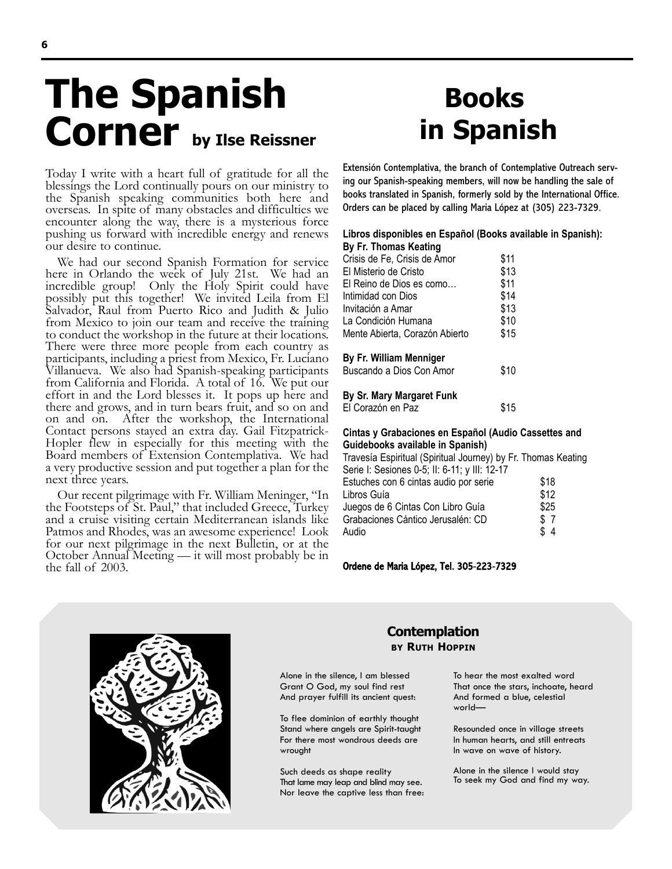## **The Spanish** Corner by Ilse Reissner

Today I write with a heart full of gratitude for all the blessings the Lord continually pours on our ministry to the Spanish speaking communities both here and overseas. In spite of many obstacles and difficulties we encounter along the way, there is a mysterious force pushing us forward with incredible energy and renews our desire to continue.

We had our second Spanish Formation for service here in Orlando the week of July 21st. We had an incredible group! Only the Holy Spirit could have possibly put this together! We invited Leila from El Salvador, Raul from Puerto Rico and Judith & Julio from Mexico to join our team and receive the training to conduct the workshop in the future at their locations. There were three more people from each country as participants, including a priest from Mexico, Fr. Luciano Villanueva. We also had Spanish-speaking participants from California and Florida. A total of 16. We put our effort in and the Lord blesses it. It pops up here and there and grows, and in turn bears fruit, and so on and on and on. After the workshop, the International Contact persons stayed an extra day. Gail Fitzpatrick-Hopler flew in especially for this meeting with the Board members of Extension Contemplativa. We had a very productive session and put together a plan for the next three years.

Our recent pilgrimage with Fr. William Meninger, "In the Footsteps of St. Paul," that included Greece, Turkey and a cruise visiting certain Mediterranean islands like Patmos and Rhodes, was an awesome experience! Look for our next pilgrimage in the next Bulletin, or at the October Annual Meeting — it will most probably be in the fall of 2003.

## **Books in Spanish**

Extensión Contemplativa, the branch of Contemplative Outreach serving our Spanish-speaking members, will now be handling the sale of books translated in Spanish, formerly sold by the International Office. Orders can be placed by calling Maria López at (305) 223-7329.

#### **Libros disponibles en Español (Books available in Spanish): By Fr. Thomas Keating**

| Crisis de Fe, Crisis de Amor   | \$11 |
|--------------------------------|------|
| El Misterio de Cristo          | \$13 |
| El Reino de Dios es como       | \$11 |
| Intimidad con Dios             | \$14 |
| Invitación a Amar              | \$13 |
| La Condición Humana            | \$10 |
| Mente Abierta, Corazón Abierto | \$15 |
| By Fr. William Menniger        |      |
| Buscando a Dios Con Amor       | \$10 |

#### **By Sr. Mary Margaret Funk**

El Corazón en Paz  $$15$ 

#### **Cintas y Grabaciones en Español (Audio Cassettes and Guidebooks available in Spanish)**

Travesía Espiritual (Spiritual Journey) by Fr. Thomas Keating Serie I: Sesiones 0-5; II: 6-11; y III: 12-17 Estuches con 6 cintas audio por serie  $$18$ Libros Guía **\$12** Juegos de 6 Cintas Con Libro Guía  $$25$ Grabaciones Cántico Jerusalén: CD \$ 7 Audio \$ 4

Ordene de Maria López, Tel. 305-223-7329



#### **Contemplation BY RUTH HOPPIN**

Alone in the silence, I am blessed Grant O God, my soul find rest And prayer fulfill its ancient quest:

To flee dominion of earthly thought Stand where angels are Spirit-taught For there most wondrous deeds are wrought

Such deeds as shape reality That lame may leap and blind may see. Nor leave the captive less than free:

To hear the most exalted word That once the stars, inchoate, heard And formed a blue, celestial world—

Resounded once in village streets In human hearts, and still entreats In wave on wave of history.

Alone in the silence I would stay To seek my God and find my way.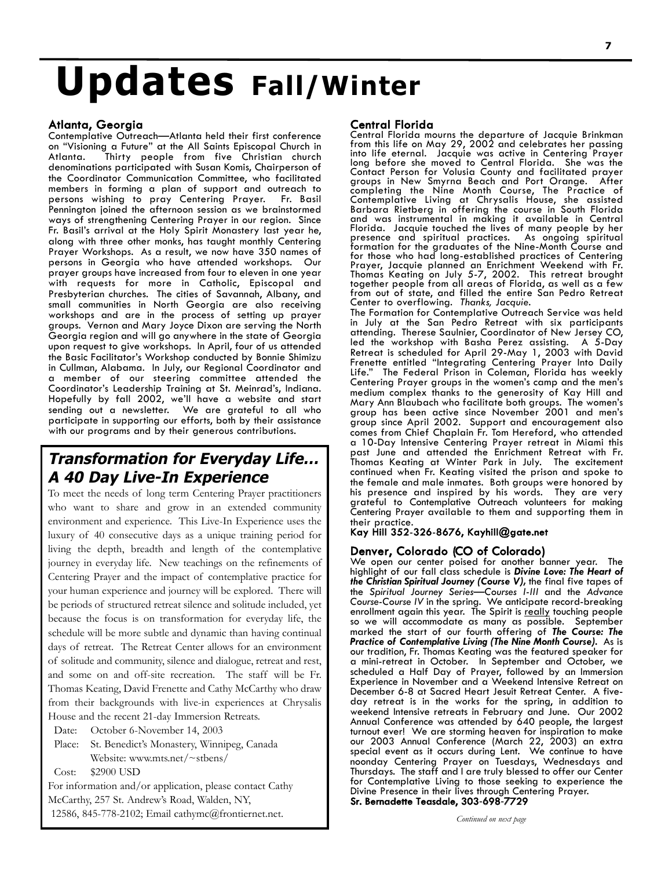## **Updates Fall/Winter**

#### Atlanta, Georgia

Contemplative Outreach—Atlanta held their first conference on "Visioning a Future" at the All Saints Episcopal Church in Atlanta. Thirty people from five Christian church denominations participated with Susan Komis, Chairperson of the Coordinator Communication Committee, who facilitated members in forming a plan of support and outreach to persons wishing to pray Centering Prayer. Pennington joined the afternoon session as we brainstormed ways of strengthening Centering Prayer in our region. Since Fr. Basil's arrival at the Holy Spirit Monastery last year he, along with three other monks, has taught monthly Centering Prayer Workshops. As a result, we now have 350 names of persons in Georgia who have attended workshops. Our prayer groups have increased from four to eleven in one year with requests for more in Catholic, Episcopal and Presbyterian churches. The cities of Savannah, Albany, and small communities in North Georgia are also receiving workshops and are in the process of setting up prayer groups. Vernon and Mary Joyce Dixon are serving the North Georgia region and will go anywhere in the state of Georgia upon request to give workshops. In April, four of us attended the Basic Facilitator's Workshop conducted by Bonnie Shimizu in Cullman, Alabama. In July, our Regional Coordinator and a member of our steering committee attended the Coordinator's Leadership Training at St. Meinrad's, Indiana. Hopefully by fall 2002, we'll have a website and start sending out a newsletter. We are grateful to all who participate in supporting our efforts, both by their assistance with our programs and by their generous contributions.

#### **Transformation for Everyday Life… A 40 Day Live-In Experience**

To meet the needs of long term Centering Prayer practitioners who want to share and grow in an extended community environment and experience. This Live-In Experience uses the luxury of 40 consecutive days as a unique training period for living the depth, breadth and length of the contemplative journey in everyday life. New teachings on the refinements of Centering Prayer and the impact of contemplative practice for your human experience and journey will be explored. There will be periods of structured retreat silence and solitude included, yet because the focus is on transformation for everyday life, the schedule will be more subtle and dynamic than having continual days of retreat. The Retreat Center allows for an environment of solitude and community, silence and dialogue, retreat and rest, and some on and off-site recreation. The staff will be Fr. Thomas Keating, David Frenette and Cathy McCarthy who draw from their backgrounds with live-in experiences at Chrysalis House and the recent 21-day Immersion Retreats.

Date: October 6-November 14, 2003

Place: St. Benedict's Monastery, Winnipeg, Canada Website: www.mts.net/~stbens/

Cost: \$2900 USD

For information and/or application, please contact Cathy McCarthy, 257 St. Andrew's Road, Walden, NY, 12586, 845-778-2102; Email cathymc@frontiernet.net.

#### Central Florida

Central Florida mourns the departure of Jacquie Brinkman from this life on May 29, 2002 and celebrates her passing into life eternal. Jacquie was active in Centering Prayer long before she moved to Central Florida. She was the Contact Person for Volusia County and facilitated prayer groups in New Smyrna Beach and Port Orange. After completing the Nine Month Course, The Practice of Contemplative Living at Chrysalis House, she assisted Barbara Rietberg in offering the course in South Florida and was instrumental in making it available in Central Florida. Jacquie touched the lives of many people by her presence and spiritual practices. As ongoing spiritual formation for the graduates of the Nine-Month Course and for those who had long-established practices of Centering Prayer, Jacquie planned an Enrichment Weekend with Fr. Thomas Keating on July 5-7, 2002. This retreat brought together people from all areas of Florida, as well as a few from out of state, and filled the entire San Pedro Retreat Center to overflowing. *Thanks, Jacquie.*

The Formation for Contemplative Outreach Service was held in July at the San Pedro Retreat with six participants attending. Therese Saulnier, Coordinator of New Jersey CO, led the workshop with Basha Perez assisting. A 5-Day Retreat is scheduled for April 29-May 1, 2003 with David Frenette entitled "Integrating Centering Prayer Into Daily Life." The Federal Prison in Coleman, Florida has weekly Centering Prayer groups in the women's camp and the men's medium complex thanks to the generosity of Kay Hill and Mary Ann Blaubach who facilitate both groups. The women's group has been active since November 2001 and men's group since April 2002. Support and encouragement also comes from Chief Chaplain Fr. Tom Hereford, who attended a 10-Day Intensive Centering Prayer retreat in Miami this past June and attended the Enrichment Retreat with Fr. Thomas Keating at Winter Park in July. The excitement continued when Fr. Keating visited the prison and spoke to the female and male inmates. Both groups were honored by his presence and inspired by his words. They are very grateful to Contemplative Outreach volunteers for making Centering Prayer available to them and supporting them in their practice.

#### Kay Hill 352-326-8676, Kayhill@gate.net

#### Denver, Colorado (CO of Colorado)

We open our center poised for another banner year. The highlight of our fall class schedule is *Divine Love: The Heart of the Christian Spiritual Journey (Course V),* the final five tapes of the *Spiritual Journey Series—Courses I-III* and the *Advance Course-Course IV* in the spring. We anticipate record-breaking enrollment again this year. The Spirit is really touching people so we will accommodate as many as possible. September marked the start of our fourth offering of *The Course: The Practice of Contemplative Living (The Nine Month Course).* As is our tradition, Fr. Thomas Keating was the featured speaker for a mini-retreat in October. In September and October, we scheduled a Half Day of Prayer, followed by an Immersion Experience in November and a Weekend Intensive Retreat on December 6-8 at Sacred Heart Jesuit Retreat Center. A fiveday retreat is in the works for the spring, in addition to weekend Intensive retreats in February and June. Our 2002 Annual Conference was attended by 640 people, the largest turnout ever! We are storming heaven for inspiration to make our 2003 Annual Conference (March 22, 2003) an extra special event as it occurs during Lent. We continue to have noonday Centering Prayer on Tuesdays, Wednesdays and Thursdays. The staff and I are truly blessed to offer our Center for Contemplative Living to those seeking to experience the Divine Presence in their lives through Centering Prayer. Sr. Bernadette Teasdale, 303-698-7729

*Continued on next page*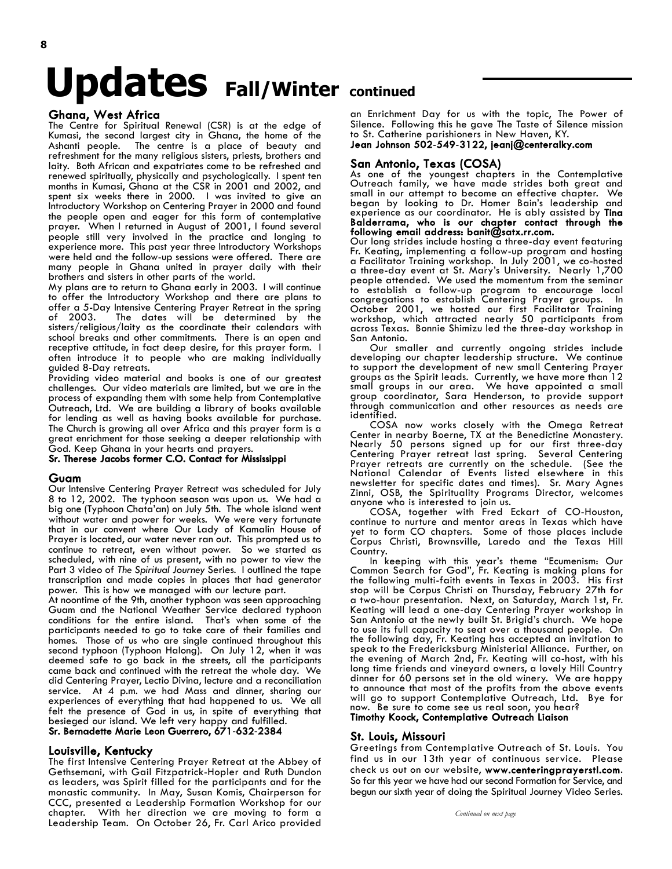# **Updates Fall/Winter continued**

#### Ghana, West Africa

The Centre for Spiritual Renewal (CSR) is at the edge of Kumasi, the second largest city in Ghana, the home of the Ashanti people. The centre is a place of beauty and refreshment for the many religious sisters, priests, brothers and laity. Both African and expatriates come to be refreshed and renewed spiritually, physically and psychologically. I spent ten months in Kumasi, Ghana at the CSR in 2001 and 2002, and spent six weeks there in 2000. I was invited to give an Introductory Workshop on Centering Prayer in 2000 and found the people open and eager for this form of contemplative prayer. When I returned in August of 2001, I found several people still very involved in the practice and longing to experience more. This past year three Introductory Workshops were held and the follow-up sessions were offered. There are many people in Ghana united in prayer daily with their brothers and sisters in other parts of the world.

My plans are to return to Ghana early in 2003. I will continue to offer the Introductory Workshop and there are plans to offer a 5-Day Intensive Centering Prayer Retreat in the spring of 2003. The dates will be determined by the sisters/religious/laity as the coordinate their calendars with school breaks and other commitments. There is an open and receptive attitude, in fact deep desire, for this prayer form. I often introduce it to people who are making individually guided 8-Day retreats.

Providing video material and books is one of our greatest challenges. Our video materials are limited, but we are in the process of expanding them with some help from Contemplative Outreach, Ltd. We are building a library of books available for lending as well as having books available for purchase. The Church is growing all over Africa and this prayer form is a great enrichment for those seeking a deeper relationship with God. Keep Ghana in your hearts and prayers.

#### Sr. Therese Jacobs former C.O. Contact for Mississippi

#### Guam

Our Intensive Centering Prayer Retreat was scheduled for July 8 to 12, 2002. The typhoon season was upon us. We had a big one (Typhoon Chata'an) on July 5th. The whole island went without water and power for weeks. We were very fortunate that in our convent where Our Lady of Kamalin House of Prayer is located, our water never ran out. This prompted us to continue to retreat, even without power. So we started as scheduled, with nine of us present, with no power to view the Part 3 video of *The Spiritual Journey* Series. I outlined the tape transcription and made copies in places that had generator power. This is how we managed with our lecture part.

At noontime of the 9th, another typhoon was seen approaching Guam and the National Weather Service declared typhoon conditions for the entire island. That's when some of the participants needed to go to take care of their families and homes. Those of us who are single continued throughout this second typhoon (Typhoon Halong). On July 12, when it was deemed safe to go back in the streets, all the participants came back and continued with the retreat the whole day. We did Centering Prayer, Lectio Divina, lecture and a reconciliation service. At 4 p.m. we had Mass and dinner, sharing our experiences of everything that had happened to us. We all felt the presence of God in us, in spite of everything that besieged our island. We left very happy and fulfilled.

#### Sr. Bernadette Marie Leon Guerrero, 671-632-2384

#### Louisville, Kentucky

The first Intensive Centering Prayer Retreat at the Abbey of Gethsemani, with Gail Fitzpatrick-Hopler and Ruth Dundon as leaders, was Spirit filled for the participants and for the monastic community. In May, Susan Komis, Chairperson for CCC, presented a Leadership Formation Workshop for our chapter. With her direction we are moving to form a Leadership Team. On October 26, Fr. Carl Arico provided

an Enrichment Day for us with the topic, The Power of Silence. Following this he gave The Taste of Silence mission to St. Catherine parishioners in New Haven, KY. Jean Johnson 502-549-3122, jeanj@centeralky.com

#### San Antonio, Texas (COSA)

As one of the youngest chapters in the Contemplative Outreach family, we have made strides both great and small in our attempt to become an effective chapter. We began by looking to Dr. Homer Bain's leadership and experience as our coordinator. He is ably assisted by Tina Balderrama, who is our chapter contact through the<br>following email address: banit@satx.rr.com. **following email address: banit@satx.rr.com.**<br>Our long strides include hosting a three-day event featuring

Fr. Keating, implementing a follow-up program and hosting a Facilitator Training workshop. In July 2001, we co-hosted a three-day event at St. Mary's University. Nearly 1,700 people attended. We used the momentum from the seminar to establish a follow-up program to encourage local congregations to establish Centering Prayer groups. In October 2001, we hosted our first Facilitator Training workshop, which attracted nearly 50 participants from across Texas. Bonnie Shimizu led the three-day workshop in San Antonio.

Our smaller and currently ongoing strides include developing our chapter leadership structure. We continue to support the development of new small Centering Prayer groups as the Spirit leads. Currently, we have more than 12 small groups in our area. We have appointed a small group coordinator, Sara Henderson, to provide support through communication and other resources as needs are identified.

COSA now works closely with the Omega Retreat Center in nearby Boerne, TX at the Benedictine Monastery. Nearly 50 persons signed up for our first three-day Centering Prayer retreat last spring. Several Centering Prayer retreats are currently on the schedule. (See the National Calendar of Events listed elsewhere in this newsletter for specific dates and times). Sr. Mary Agnes Zinni, OSB, the Spirituality Programs Director, welcomes anyone who is interested to join us.

COSA, together with Fred Eckart of CO-Houston, continue to nurture and mentor areas in Texas which have yet to form CO chapters. Some of those places include Corpus Christi, Brownsville, Laredo and the Texas Hill Country.

In keeping with this year's theme "Ecumenism: Our Common Search for God", Fr. Keating is making plans for the following multi-faith events in Texas in 2003. His first stop will be Corpus Christi on Thursday, February 27th for a two-hour presentation. Next, on Saturday, March 1st, Fr. Keating will lead a one-day Centering Prayer workshop in San Antonio at the newly built St. Brigid's church. We hope to use its full capacity to seat over a thousand people. On the following day, Fr. Keating has accepted an invitation to speak to the Fredericksburg Ministerial Alliance. Further, on the evening of March 2nd, Fr. Keating will co-host, with his long time friends and vineyard owners, a lovely Hill Country dinner for 60 persons set in the old winery. We are happy to announce that most of the profits from the above events will go to support Contemplative Outreach, Ltd. Bye for now. Be sure to come see us real soon, you hear?

#### Timothy Koock, Contemplative Outreach Liaison

#### St. Louis, Missouri

Greetings from Contemplative Outreach of St. Louis. You find us in our 13th year of continuous service. Please check us out on our website, www.centeringprayerstl.com. So far this year we have had our second Formation for Service, and begun our sixth year of doing the Spiritual Journey Video Series.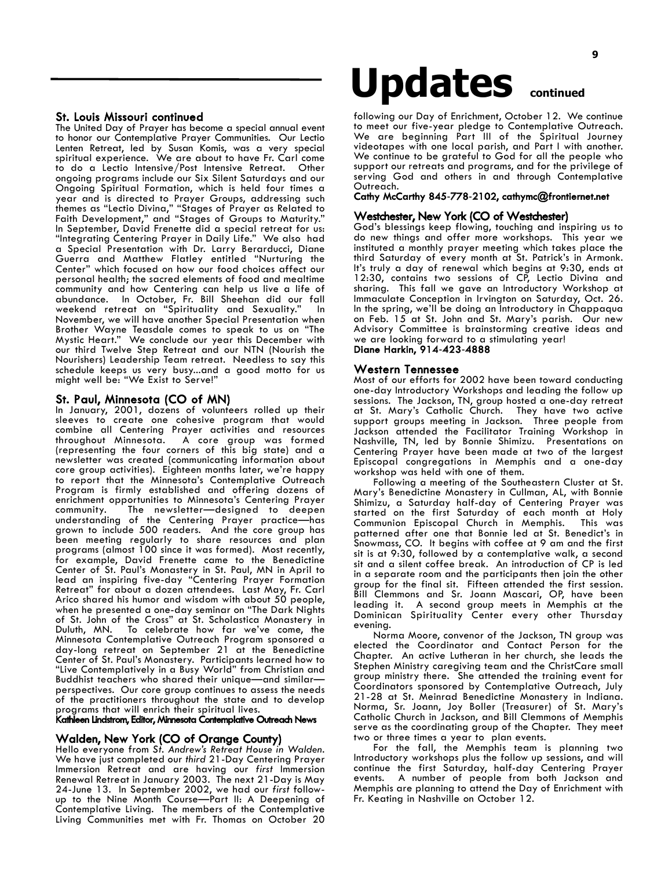#### St. Louis Missouri continued

The United Day of Prayer has become a special annual event to honor our Contemplative Prayer Communities. Our Lectio Lenten Retreat, led by Susan Komis, was a very special spiritual experience. We are about to have Fr. Carl come to do a Lectio Intensive/Post Intensive Retreat. Other ongoing programs include our Six Silent Saturdays and our Ongoing Spiritual Formation, which is held four times a year and is directed to Prayer Groups, addressing such themes as "Lectio Divina," "Stages of Prayer as Related to Faith Development," and "Stages of Groups to Maturity." In September, David Frenette did a special retreat for us: "Integrating Centering Prayer in Daily Life." We also had a Special Presentation with Dr. Larry Berarducci, Diane Guerra and Matthew Flatley entitled "Nurturing the Center" which focused on how our food choices affect our personal health; the sacred elements of food and mealtime community and how Centering can help us live a life of abundance. In October, Fr. Bill Sheehan did our fall weekend retreat on "Spirituality and Sexuality." In November, we will have another Special Presentation when Brother Wayne Teasdale comes to speak to us on "The Mystic Heart." We conclude our year this December with our third Twelve Step Retreat and our NTN (Nourish the Nourishers) Leadership Team retreat. Needless to say this schedule keeps us very busy...and a good motto for us might well be: "We Exist to Serve!"

#### St. Paul, Minnesota (CO of MN)

In January, 2001, dozens of volunteers rolled up their sleeves to create one cohesive program that would combine all Centering Prayer activities and resources throughout Minnesota. A core group was formed (representing the four corners of this big state) and a newsletter was created (communicating information about core group activities). Eighteen months later, we're happy to report that the Minnesota's Contemplative Outreach Program is firmly established and offering dozens of enrichment opportunities to Minnesota's Centering Prayer The newsletter—designed to deepen understanding of the Centering Prayer practice—has grown to include 500 readers. And the core group has been meeting regularly to share resources and plan programs (almost 100 since it was formed). Most recently, for example, David Frenette came to the Benedictine Center of St. Paul's Monastery in St. Paul, MN in April to lead an inspiring five-day "Centering Prayer Formation Retreat" for about a dozen attendees. Last May, Fr. Carl Arico shared his humor and wisdom with about 50 people, when he presented a one-day seminar on "The Dark Nights of St. John of the Cross" at St. Scholastica Monastery in Duluth, MN. To celebrate how far we've come, the Minnesota Contemplative Outreach Program sponsored a day-long retreat on September 21 at the Benedictine Center of St. Paul's Monastery. Participants learned how to "Live Contemplatively in a Busy World" from Christian and Buddhist teachers who shared their unique—and similar perspectives. Our core group continues to assess the needs of the practitioners throughout the state and to develop programs that will enrich their spiritual lives.

#### Kathleen Lindstrom, Editor, Minnesota Contemplative Outreach News

#### Walden, New York (CO of Orange County)

Hello everyone from *St. Andrew's Retreat House in Walden.* We have just completed our *third* 21-Day Centering Prayer Immersion Retreat and are having our *first* Immersion Renewal Retreat in January 2003. The next 21-Day is May 24-June 13. In September 2002, we had our *first* followup to the Nine Month Course—Part II: A Deepening of Contemplative Living. The members of the Contemplative Living Communities met with Fr. Thomas on October 20

## **Updates continued**

following our Day of Enrichment, October 12. We continue to meet our five-year pledge to Contemplative Outreach. We are beginning Part III of the Spiritual Journey videotapes with one local parish, and Part I with another. We continue to be grateful to God for all the people who support our retreats and programs, and for the privilege of serving God and others in and through Contemplative Outreach.

#### Cathy McCarthy 845-778-2102, cathymc@frontiernet.net

#### Westchester, New York (CO of Westchester)

God's blessings keep flowing, touching and inspiring us to do new things and offer more workshops. This year we instituted a monthly prayer meeting which takes place the third Saturday of every month at St. Patrick's in Armonk. It's truly a day of renewal which begins at 9:30, ends at 12:30, contains two sessions of CP, Lectio Divina and sharing. This fall we gave an Introductory Workshop at Immaculate Conception in Irvington on Saturday, Oct. 26. In the spring, we'll be doing an Introductory in Chappaqua on Feb. 15 at St. John and St. Mary's parish. Our new Advisory Committee is brainstorming creative ideas and we are looking forward to a stimulating year! Diane Harkin, 914-423-4888

#### Western Tennessee

Most of our efforts for 2002 have been toward conducting one-day Introductory Workshops and leading the follow up sessions. The Jackson, TN, group hosted a one-day retreat at St. Mary's Catholic Church. They have two active support groups meeting in Jackson. Three people from Jackson attended the Facilitator Training Workshop in Nashville, TN, led by Bonnie Shimizu. Presentations on Centering Prayer have been made at two of the largest Episcopal congregations in Memphis and a one-day workshop was held with one of them.

Following a meeting of the Southeastern Cluster at St. Mary's Benedictine Monastery in Cullman, AL, with Bonnie Shimizu, a Saturday half-day of Centering Prayer was started on the first Saturday of each month at Holy<br>Communion Episcopal Church in Memphis. This was Communion Episcopal Church in Memphis. patterned after one that Bonnie led at St. Benedict's in Snowmass, CO. It begins with coffee at 9 am and the first sit is at 9:30, followed by a contemplative walk, a second sit and a silent coffee break. An introduction of CP is led in a separate room and the participants then join the other group for the final sit. Fifteen attended the first session. Bill Clemmons and Sr. Joann Mascari, OP, have been leading it. A second group meets in Memphis at the Dominican Spirituality Center every other Thursday evening.

Norma Moore, convenor of the Jackson, TN group was elected the Coordinator and Contact Person for the Chapter. An active Lutheran in her church, she leads the Stephen Ministry caregiving team and the ChristCare small group ministry there. She attended the training event for Coordinators sponsored by Contemplative Outreach, July 21-28 at St. Meinrad Benedictine Monastery in Indiana. Norma, Sr. Joann, Joy Boller (Treasurer) of St. Mary's Catholic Church in Jackson, and Bill Clemmons of Memphis serve as the coordinating group of the Chapter. They meet two or three times a year to plan events.

For the fall, the Memphis team is planning two Introductory workshops plus the follow up sessions, and will continue the first Saturday, half-day Centering Prayer events. A number of people from both Jackson and Memphis are planning to attend the Day of Enrichment with Fr. Keating in Nashville on October 12.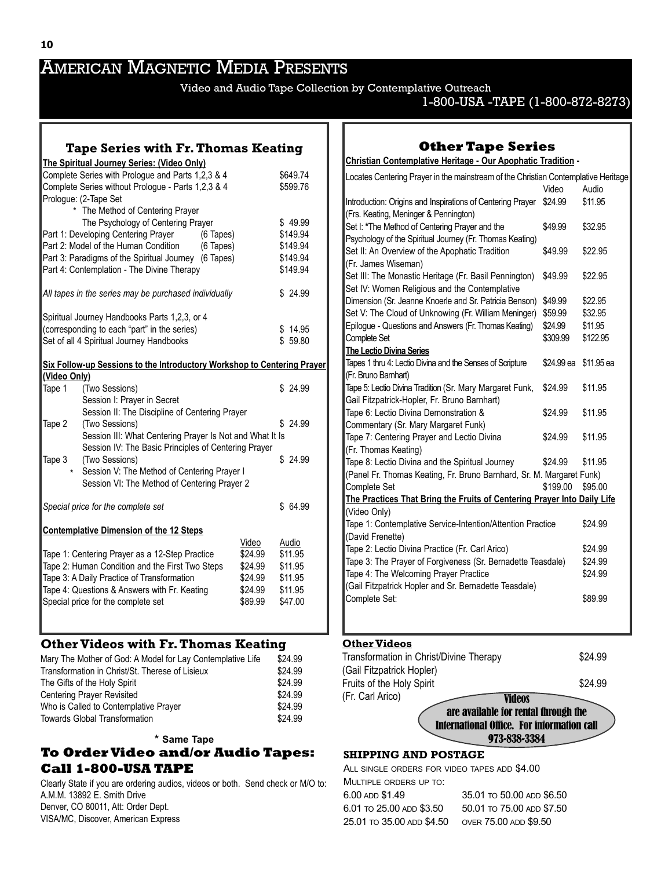### AMERICAN MAGNETIC MEDIA PRESENTS

Video and Audio Tape Collection by Contemplative Outreach

#### 1-800-USA -TAPE (1-800-872-8273)

#### **Tape Series with Fr.Thomas Keating**

|                                                            | <b>The Spiritual Journey Series: (Video Only)</b>                       |           |         |          |
|------------------------------------------------------------|-------------------------------------------------------------------------|-----------|---------|----------|
|                                                            | Complete Series with Prologue and Parts 1,2,3 & 4                       |           |         | \$649.74 |
|                                                            | Complete Series without Prologue - Parts 1,2,3 & 4                      |           |         | \$599.76 |
|                                                            | Prologue: (2-Tape Set                                                   |           |         |          |
|                                                            | The Method of Centering Prayer                                          |           |         |          |
|                                                            | The Psychology of Centering Prayer                                      |           |         | \$49.99  |
|                                                            | Part 1: Developing Centering Prayer (6 Tapes)                           |           |         | \$149.94 |
|                                                            | Part 2: Model of the Human Condition                                    | (6 Tapes) |         | \$149.94 |
|                                                            | Part 3: Paradigms of the Spiritual Journey (6 Tapes)                    |           |         | \$149.94 |
|                                                            | Part 4: Contemplation - The Divine Therapy                              |           |         | \$149.94 |
|                                                            | All tapes in the series may be purchased individually                   |           |         | \$24.99  |
|                                                            | Spiritual Journey Handbooks Parts 1,2,3, or 4                           |           |         |          |
|                                                            | (corresponding to each "part" in the series)                            |           |         | \$14.95  |
|                                                            | Set of all 4 Spiritual Journey Handbooks                                |           |         | \$59.80  |
|                                                            | Six Follow-up Sessions to the Introductory Workshop to Centering Prayer |           |         |          |
| <u>(Video Only)</u>                                        |                                                                         |           |         |          |
| Tape 1                                                     | (Two Sessions)                                                          |           |         | \$24.99  |
|                                                            | Session I: Prayer in Secret                                             |           |         |          |
|                                                            | Session II: The Discipline of Centering Prayer                          |           |         |          |
| Tape 2                                                     | (Two Sessions)                                                          |           |         | \$24.99  |
| Session III: What Centering Prayer Is Not and What It Is   |                                                                         |           |         |          |
| Session IV: The Basic Principles of Centering Prayer       |                                                                         |           |         | \$24.99  |
| Tape 3<br>$\star$                                          | (Two Sessions)<br>Session V: The Method of Centering Prayer I           |           |         |          |
|                                                            | Session VI: The Method of Centering Prayer 2                            |           |         |          |
|                                                            |                                                                         |           |         |          |
|                                                            | Special price for the complete set                                      |           |         | \$ 64.99 |
|                                                            | <b>Contemplative Dimension of the 12 Steps</b>                          |           |         |          |
|                                                            |                                                                         |           | Video   | Audio    |
| Tape 1: Centering Prayer as a 12-Step Practice<br>\$24.99  |                                                                         |           | \$11.95 |          |
| Tape 2: Human Condition and the First Two Steps<br>\$24.99 |                                                                         |           | \$11.95 |          |
| Tape 3: A Daily Practice of Transformation<br>\$24.99      |                                                                         |           | \$11.95 |          |
| Tape 4: Questions & Answers with Fr. Keating<br>\$24.99    |                                                                         |           | \$11.95 |          |
| Special price for the complete set<br>\$89.99              |                                                                         |           | \$47.00 |          |
|                                                            |                                                                         |           |         |          |

#### **Other Videos with Fr.Thomas Keating**

| Mary The Mother of God: A Model for Lay Contemplative Life | \$24.99 |
|------------------------------------------------------------|---------|
| Transformation in Christ/St. Therese of Lisieux            | \$24.99 |
| The Gifts of the Holy Spirit                               | \$24.99 |
| <b>Centering Prayer Revisited</b>                          | \$24.99 |
| Who is Called to Contemplative Prayer                      | \$24.99 |
| <b>Towards Global Transformation</b>                       | \$24.99 |

#### **\* Same Tape**

#### **To Order Video and/or Audio Tapes: Call 1-800-USA TAPE**

Clearly State if you are ordering audios, videos or both. Send check or M/O to: A.M.M. 13892 E. Smith Drive Denver, CO 80011, Att: Order Dept. VISA/MC, Discover, American Express

#### **Other Tape Series**

**Christian Contemplative Heritage - Our Apophatic Tradition -**

| Locates Centering Prayer in the mainstream of the Christian Contemplative Heritage                             | Video               | Audio               |
|----------------------------------------------------------------------------------------------------------------|---------------------|---------------------|
| Introduction: Origins and Inspirations of Centering Prayer<br>(Frs. Keating, Meninger & Pennington)            | \$24.99             | \$11.95             |
| Set I: *The Method of Centering Prayer and the<br>Psychology of the Spiritual Journey (Fr. Thomas Keating)     | \$49.99             | \$32.95             |
| Set II: An Overview of the Apophatic Tradition<br>(Fr. James Wiseman)                                          | \$49.99             | \$22.95             |
| Set III: The Monastic Heritage (Fr. Basil Pennington)<br>Set IV: Women Religious and the Contemplative         | \$49.99             | \$22.95             |
| Dimension (Sr. Jeanne Knoerle and Sr. Patricia Benson)<br>Set V: The Cloud of Unknowing (Fr. William Meninger) | \$49.99<br>\$59.99  | \$22.95<br>\$32.95  |
| Epilogue - Questions and Answers (Fr. Thomas Keating)<br>Complete Set                                          | \$24.99<br>\$309.99 | \$11.95<br>\$122.95 |
| <b>The Lectio Divina Series</b>                                                                                |                     |                     |
| Tapes 1 thru 4: Lectio Divina and the Senses of Scripture<br>(Fr. Bruno Barnhart)                              | \$24.99 ea          | \$11.95 ea          |
| Tape 5: Lectio Divina Tradition (Sr. Mary Margaret Funk,<br>Gail Fitzpatrick-Hopler, Fr. Bruno Barnhart)       | \$24.99             | \$11.95             |
| Tape 6: Lectio Divina Demonstration &<br>Commentary (Sr. Mary Margaret Funk)                                   | \$24.99             | \$11.95             |
| Tape 7: Centering Prayer and Lectio Divina<br>(Fr. Thomas Keating)                                             | \$24.99             | \$11.95             |
| Tape 8: Lectio Divina and the Spiritual Journey                                                                | \$24.99             | \$11.95             |
| (Panel Fr. Thomas Keating, Fr. Bruno Barnhard, Sr. M. Margaret Funk)                                           |                     |                     |
| Complete Set                                                                                                   | \$199.00            | \$95.00             |
| The Practices That Bring the Fruits of Centering Prayer Into Daily Life                                        |                     |                     |
| (Video Only)<br>Tape 1: Contemplative Service-Intention/Attention Practice                                     |                     | \$24.99             |
| (David Frenette)                                                                                               |                     |                     |
| Tape 2: Lectio Divina Practice (Fr. Carl Arico)                                                                |                     | \$24.99             |
| Tape 3: The Prayer of Forgiveness (Sr. Bernadette Teasdale)                                                    |                     | \$24.99             |
| Tape 4: The Welcoming Prayer Practice                                                                          |                     | \$24.99             |
| (Gail Fitzpatrick Hopler and Sr. Bernadette Teasdale)                                                          |                     |                     |
| Complete Set:                                                                                                  |                     | \$89.99             |

#### **Other Videos**

|                                         | are available for rental through the<br><b>International Office. For information call</b><br>973-838-3384 |         |
|-----------------------------------------|-----------------------------------------------------------------------------------------------------------|---------|
| (Fr. Carl Arico)                        | <b>Videos</b>                                                                                             |         |
| Fruits of the Holy Spirit               |                                                                                                           | \$24.99 |
| (Gail Fitzpatrick Hopler)               |                                                                                                           |         |
| Transformation in Christ/Divine Therapy |                                                                                                           | \$24.99 |

#### **SHIPPING AND POSTAGE**

ALL SINGLE ORDERS FOR VIDEO TAPES ADD \$4.00 MULTIPLE ORDERS UP TO: 6.00 ADD \$1.49 35.01 TO 50.00 ADD \$6.50 6.01 TO 25.00 ADD \$3.50 50.01 TO 75.00 ADD \$7.50 25.01 TO 35.00 ADD \$4.50 OVER 75.00 ADD \$9.50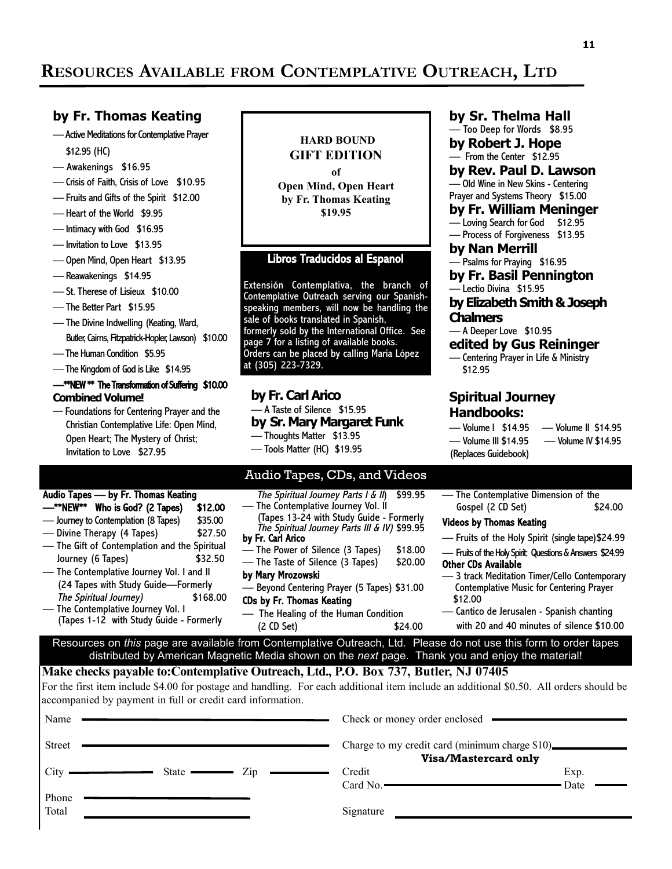### **RESOURCES AVAILABLE FROM CONTEMPLATIVE OUTREACH, LTD**

#### **by Fr. Thomas Keating**

- Active Meditations for Contemplative Prayer \$12.95 (HC)
- Awakenings \$16.95
- Crisis of Faith, Crisis of Love \$10.95
- Fruits and Gifts of the Spirit \$12.00
- Heart of the World \$9.95
- Intimacy with God \$16.95
- Invitation to Love \$13.95
- Open Mind, Open Heart \$13.95
- Reawakenings \$14.95
- St. Therese of Lisieux \$10.00
- The Better Part \$15.95
- The Divine Indwelling (Keating, Ward, Butler, Cairns, Fitzpatrick-Hopler, Lawson) \$10.00
- The Human Condition \$5.95
- The Kingdom of God is Like \$14.95

Audio Tapes — by Fr. Thomas Keating

— The Contemplative Journey Vol. I

#### —\*\*NEW \*\* The Transformation of Suffering \$10.00 **Combined Volume!**

— Foundations for Centering Prayer and the Christian Contemplative Life: Open Mind, Open Heart; The Mystery of Christ; Invitation to Love \$27.95

—\*\*NEW\*\* Who is God? (2 Tapes) \$12.00 — Journey to Contemplation (8 Tapes) \$35.00 — Divine Therapy (4 Tapes) \$27.50 — The Gift of Contemplation and the Spiritual Journey (6 Tapes) \$32.50 — The Contemplative Journey Vol. I and II (24 Tapes with Study Guide—Formerly The Spiritual Journey) \$168.00

(Tapes 1-12 with Study Guide - Formerly

#### **HARD BOUND GIFT EDITION of Open Mind, Open Heart by Fr. Thomas Keating \$19.95**

#### Libros Traducidos al Espanol

Extensión Contemplativa, the branch of Contemplative Outreach serving our Spanishspeaking members, will now be handling the sale of books translated in Spanish, formerly sold by the International Office. See page 7 for a listing of available books. Orders can be placed by calling Maria López at (305) 223-7329.

#### **by Fr. Carl Arico**

#### — A Taste of Silence \$15.95

**by Sr. Mary Margaret Funk**

- Thoughts Matter \$13.95
- Tools Matter (HC) \$19.95

#### Audio Tapes, CDs, and Videos

The Spiritual Journey Parts I & II) \$99.95 — The Contemplative Journey Vol. II (Tapes 13-24 with Study Guide - Formerly The Spiritual Journey Parts III & IV) \$99.95 by Fr. Carl Arico — The Power of Silence (3 Tapes) \$18.00<br>— The Taste of Silence (3 Tapes) \$20.00 — The Taste of Silence (3 Tapes) by Mary Mrozowski Beyond Centering Prayer (5 Tapes) \$31.00 CDs by Fr. Thomas Keating The Healing of the Human Condition (2 CD Set) \$24.00

#### **by Sr. Thelma Hall**

— Too Deep for Words \$8.95 **by Robert J. Hope** — From the Center \$12.95

#### **by Rev. Paul D. Lawson** — Old Wine in New Skins - Centering

Prayer and Systems Theory \$15.00 **by Fr. William Meninger**

— Loving Search for God \$12.95

- Process of Forgiveness \$13.95
- **by Nan Merrill**
- Psalms for Praying \$16.95

**by Fr. Basil Pennington** Lectio Divina \$15.95

#### **by Elizabeth Smith & Joseph Chalmers**

— A Deeper Love \$10.95

#### **edited by Gus Reininger**

— Centering Prayer in Life & Ministry \$12.95

#### **Spiritual Journey Handbooks:**

— Volume I \$14.95 — Volume II \$14.95 — Volume III \$14.95 — Volume IV \$14.95 (Replaces Guidebook)

— The Contemplative Dimension of the Gospel (2 CD Set) \$24.00

#### Videos by Thomas Keating

- Fruits of the Holy Spirit (single tape)\$24.99
- Fruits of the Holy Spirit: Questions & Answers \$24.99
- Other CDs Available
- 3 track Meditation Timer/Cello Contemporary Contemplative Music for Centering Prayer \$12.00
- Cantico de Jerusalen Spanish chanting with 20 and 40 minutes of silence \$10.00

**Make checks payable to:Contemplative Outreach, Ltd., P.O. Box 737, Butler, NJ 07405** Resources on *this* page are available from Contemplative Outreach, Ltd. Please do not use this form to order tapes distributed by American Magnetic Media shown on the *next* page. Thank you and enjoy the material!

For the first item include \$4.00 for postage and handling. For each additional item include an additional \$0.50. All orders should be accompanied by payment in full or credit card information.

| Name           |                                                         |           | Check or money order enclosed                                          |              |
|----------------|---------------------------------------------------------|-----------|------------------------------------------------------------------------|--------------|
| <b>Street</b>  |                                                         |           | Charge to my credit card (minimum charge \$10)<br>Visa/Mastercard only |              |
|                | $City$ $\longrightarrow$<br>State $\longrightarrow$ Zip | Credit    | Card No.                                                               | Exp.<br>Date |
| Phone<br>Total |                                                         | Signature |                                                                        |              |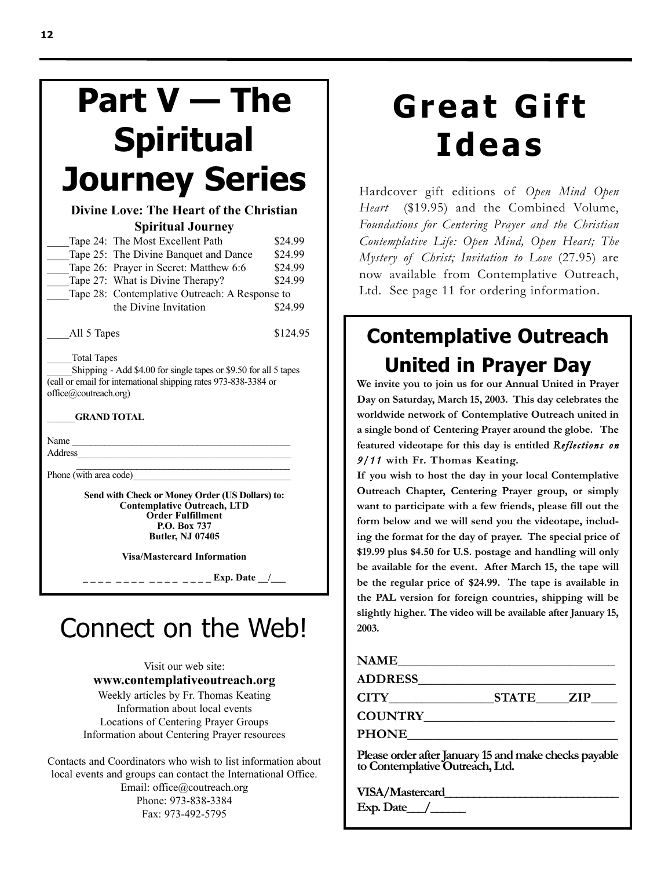## **Part V — The Spiritual Journey Series**

#### **Divine Love: The Heart of the Christian Spiritual Journey**

| Tape 24: The Most Excellent Path               | \$24.99 |
|------------------------------------------------|---------|
| Tape 25: The Divine Banquet and Dance          | \$24.99 |
| Tape 26: Prayer in Secret: Matthew 6:6         | \$24.99 |
| Tape 27: What is Divine Therapy?               | \$24.99 |
| Tape 28: Contemplative Outreach: A Response to |         |
| the Divine Invitation                          | \$24.99 |
|                                                |         |

All 5 Tapes \$124.95

\_\_\_\_\_Total Tapes

\_\_\_\_\_Shipping - Add \$4.00 for single tapes or \$9.50 for all 5 tapes (call or email for international shipping rates 973-838-3384 or office@coutreach.org)

\_\_\_\_\_\_**GRAND TOTAL**

Name

Address\_\_\_\_\_\_\_\_\_\_\_\_\_\_\_\_\_\_\_\_\_\_\_\_\_\_\_\_\_\_\_\_\_\_\_\_\_\_\_\_\_\_\_\_\_\_

Phone (with area code)

**Send with Check or Money Order (US Dollars) to: Contemplative Outreach, LTD Order Fulfillment P.O. Box 737 Butler, NJ 07405**

**Visa/Mastercard Information**

**\_ \_ \_ \_ \_ \_ \_ \_ \_ \_ \_ \_ \_ \_ \_ \_ Exp. Date \_\_/\_\_\_**

## Connect on the Web!

#### Visit our web site: **www.contemplativeoutreach.org**

Weekly articles by Fr. Thomas Keating Information about local events Locations of Centering Prayer Groups Information about Centering Prayer resources

Contacts and Coordinators who wish to list information about local events and groups can contact the International Office. Email: office@coutreach.org Phone: 973-838-3384 Fax: 973-492-5795

## **Great Gift Ideas**

Hardcover gift editions of *Open Mind Open Heart* (\$19.95) and the Combined Volume, *Foundations for Centering Prayer and the Christian Contemplative Life: Open Mind, Open Heart; The Mystery of Christ; Invitation to Love* (27.95) are now available from Contemplative Outreach, Ltd. See page 11 for ordering information.

### **Contemplative Outreach United in Prayer Day**

**We invite you to join us for our Annual United in Prayer Day on Saturday, March 15, 2003. This day celebrates the worldwide network of Contemplative Outreach united in a single bond of Centering Prayer around the globe. The featured videotape for this day is entitled** *Reflections on 9/11* **with Fr. Thomas Keating.**

**If you wish to host the day in your local Contemplative Outreach Chapter, Centering Prayer group, or simply want to participate with a few friends, please fill out the form below and we will send you the videotape, including the format for the day of prayer. The special price of \$19.99 plus \$4.50 for U.S. postage and handling will only be available for the event. After March 15, the tape will be the regular price of \$24.99. The tape is available in the PAL version for foreign countries, shipping will be slightly higher. The video will be available after January 15, 2003.**

| <b>NAME</b> |  |
|-------------|--|
|             |  |

**ADDRESS\_\_\_\_\_\_\_\_\_\_\_\_\_\_\_\_\_\_\_\_\_\_\_\_\_\_\_\_\_\_**

**CITY\_\_\_\_\_\_\_\_\_\_\_\_\_\_\_\_STATE\_\_\_\_\_ZIP\_\_\_\_**

**COUNTRY\_\_\_\_\_\_\_\_\_\_\_\_\_\_\_\_\_\_\_\_\_\_\_\_\_\_\_\_\_**

**PHONE\_\_\_\_\_\_\_\_\_\_\_\_\_\_\_\_\_\_\_\_\_\_\_\_\_\_\_\_\_\_\_\_**

**Please order after January 15 and make checks payable to Contemplative Outreach, Ltd.**

**VISA/Mastercard\_\_\_\_\_\_\_\_\_\_\_\_\_\_\_\_\_\_\_\_\_\_\_\_\_\_\_\_\_\_ Exp. Date\_\_\_/\_\_\_\_\_\_**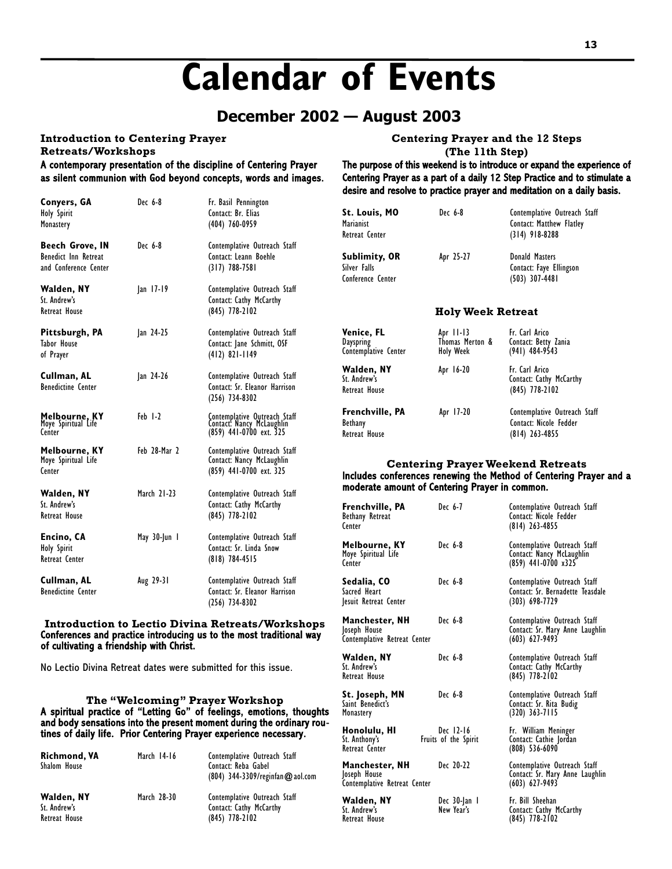## **Calendar of Events**

#### **December 2002 — August 2003**

#### **Introduction to Centering Prayer**

**Retreats/Workshops**

A contemporary presentation of the discipline of Centering Prayer as silent communion with God beyond concepts, words and images.

| Conyers, GA<br>Holy Spirit<br>Monastery                          | Dec 6-8      | Fr. Basil Pennington<br>Contact: Br. Elias<br>$(404)$ 760-0959                       |
|------------------------------------------------------------------|--------------|--------------------------------------------------------------------------------------|
| Beech Grove, IN<br>Benedict Inn Retreat<br>and Conference Center | Dec 6-8      | Contemplative Outreach Staff<br>Contact: Leann Boehle<br>$(317)$ 788-7581            |
| Walden, NY<br>St. Andrew's<br>Retreat House                      | $ an 17-19$  | Contemplative Outreach Staff<br>Contact: Cathy McCarthy<br>$(845)$ 778-2102          |
| Pittsburgh, PA<br><b>Tabor House</b><br>of Prayer                | Jan 24-25    | Contemplative Outreach Staff<br>Contact: Jane Schmitt, OSF<br>$(412)$ 821-1149       |
| Cullman, AL<br><b>Benedictine Center</b>                         | Jan 24-26    | Contemplative Outreach Staff<br>Contact: Sr. Eleanor Harrison<br>$(256)$ 734-8302    |
| <b>Melbourne, KY</b><br>Moye Spiritual Life<br>Center            | Feb 1-2      | Contemplative Outreach Staff<br>Contact: Nancy McLaughlin<br>(859) 441-0700 ext. 325 |
| Melbourne, KY<br>Moye Spiritual Life<br>Center                   | Feb 28-Mar 2 | Contemplative Outreach Staff<br>Contact: Nancy McLaughlin<br>(859) 441-0700 ext. 325 |
| Walden, NY<br>St. Andrew's<br><b>Retreat House</b>               | March 21-23  | Contemplative Outreach Staff<br>Contact: Cathy McCarthy<br>$(845)$ 778-2102          |
| Encino, CA<br>Holy Spirit<br>Retreat Center                      | May 30-Jun I | Contemplative Outreach Staff<br>Contact: Sr. Linda Snow<br>$(818)$ 784-4515          |
| Cullman, AL<br><b>Benedictine Center</b>                         | Aug 29-31    | Contemplative Outreach Staff<br>Contact: Sr. Eleanor Harrison<br>(256) 734-8302      |

#### **Introduction to Lectio Divina Retreats/Workshops** Conferences and practice introducing us to the most traditional way of cultivating a friendship with Christ.

No Lectio Divina Retreat dates were submitted for this issue.

#### **The "Welcoming" Prayer Workshop** A spiritual practice of "Letting Go" of feelings, emotions, thoughts and body sensations into the present moment during the ordinary routines of daily life. Prior Centering Prayer experience necessary.

| <b>Richmond, VA</b><br>Shalom House         | March 14-16 | Contemplative Outreach Staff<br>Contact: Reba Gabel<br>$(804)$ 344-3309/reginfan $@$ aol.com |
|---------------------------------------------|-------------|----------------------------------------------------------------------------------------------|
| Walden, NY<br>St. Andrew's<br>Retreat House | March 28-30 | Contemplative Outreach Staff<br>Contact: Cathy McCarthy<br>$(845)$ 778-2102                  |

**Centering Prayer and the 12 Steps** 

**(The 11th Step)**

The purpose of this weekend is to introduce or expand the experience of Centering Prayer as a part of a daily 12 Step Practice and to stimulate a desire and resolve to practice prayer and meditation on a daily basis.

| St. Louis, MO<br><b>Marianist</b><br>Retreat Center | Dec 6-8   | Contemplative Outreach Staff<br>Contact: Matthew Flatley<br>$(314)$ 918-8288 |
|-----------------------------------------------------|-----------|------------------------------------------------------------------------------|
| Sublimity, OR<br>Silver Falls<br>Conference Center  | Apr 25-27 | Donald Masters<br>Contact: Faye Ellingson<br>$(503)$ 307-4481                |

#### **Holy Week Retreat**

| <b>Venice, FL</b><br>Dayspring<br>Contemplative Center    | Apr 11-13<br>Thomas Merton &<br><b>Holy Week</b> | Fr. Carl Arico<br>Contact: Betty Zania<br>$(941)$ 484-9543                 |
|-----------------------------------------------------------|--------------------------------------------------|----------------------------------------------------------------------------|
| Walden, NY<br>St. Andrew's<br>Retreat House               | Apr 16-20                                        | Fr. Carl Arico<br>Contact: Cathy McCarthy<br>$(845)$ 778-2102              |
| <b>Frenchville, PA</b><br><b>Bethany</b><br>Retreat House | Apr 17-20                                        | Contemplative Outreach Staff<br>Contact: Nicole Fedder<br>$(814)$ 263-4855 |

#### **Centering Prayer Weekend Retreats** Includes conferences renewing the Method of Centering Prayer and a moderate amount of Centering Prayer in common.

| Frenchville, PA<br>Bethany Retreat<br>Center                   | Dec 6-7                           | Contemplative Outreach Staff<br>Contact: Nicole Fedder<br>$(814)$ 263-4855            |
|----------------------------------------------------------------|-----------------------------------|---------------------------------------------------------------------------------------|
| Melbourne, KY<br>Moye Spiritual Life<br>Center                 | Dec 6-8                           | Contemplative Outreach Staff<br>Contact: Nancy McLaughlin<br>(859) 441-0700 x325      |
| Sedalia, CO<br>Sacred Heart<br>lesuit Retreat Center           | Dec 6-8                           | Contemplative Outreach Staff<br>Contact: Sr. Bernadette Teasdale<br>$(303)$ 698-7729  |
| Manchester, NH<br>Joseph House<br>Contemplative Retreat Center | Dec 6-8                           | Contemplative Outreach Staff<br>Contact: Sr. Mary Anne Laughlin<br>$(603) 627-9493$   |
| Walden, NY<br>St. Andrew's<br>Retreat House                    | Dec 6-8                           | Contemplative Outreach Staff<br>Contact: Cathy McCarthy<br>$(845)$ 778-2102           |
| St. Joseph, MN<br>Saint Benedict's<br>Monastery                | Dec 6-8                           | Contemplative Outreach Staff<br>Contact: Sr. Rita Budig<br>$(320)$ 363-7115           |
| Honolulu, HI<br>St. Anthony's<br>Retreat Center                | Dec 12-16<br>Fruits of the Spirit | Fr. William Meninger<br>Contact: Cathie Jordan<br>$(808)$ 536-6090                    |
| Manchester, NH<br>Joseph House<br>Contemplative Retreat Center | Dec 20-22                         | Contemplative Outreach Staff<br>Contact: Sr. Mary Anne Laughlin<br>$(603) 627 - 9493$ |
| Walden, NY<br>St. Andrew's                                     | Dec 30-Jan l<br>New Year's        | Fr. Bill Sheehan<br>Contact: Cathy McCarthy                                           |

Retreat House (845) 778-2102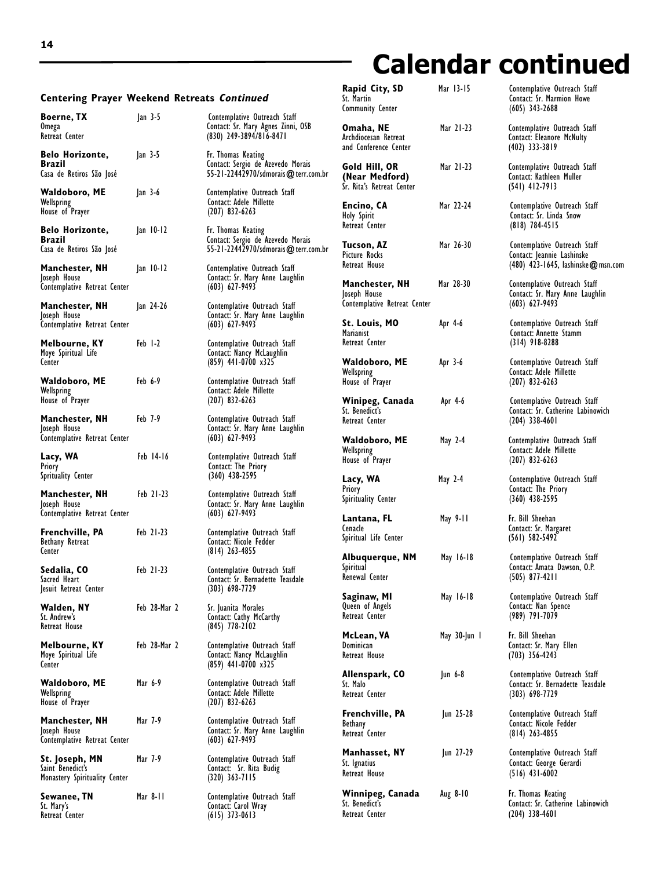## **Calendar continued**

Contemplative Outreach Staff Contact: Sr. Catherine Labinowich

(480) 423-1645, lashinske@msn.com

| <b>Centering Prayer Weekend Retreats Continued</b>                  |              |                                                                                                | Rapid City, SD<br>St. Martin<br><b>Community Center</b>                               | Mar 13-15    | Contemplative Outreach Staff<br>Contact: Sr. Marmion Howe<br>$(605)$ 343-2688                    |
|---------------------------------------------------------------------|--------------|------------------------------------------------------------------------------------------------|---------------------------------------------------------------------------------------|--------------|--------------------------------------------------------------------------------------------------|
| <b>Boerne, TX</b><br>Omega<br>Retreat Center                        | $ an 3-5$    | Contemplative Outreach Staff<br>Contact: Sr. Mary Agnes Zinni, OSB<br>(830) 249-3894/816-8471  | Omaha, NE<br>Archdiocesan Retreat                                                     | Mar 21-23    | Contemplative Outreach Staff<br>Contact: Eleanore McNulty                                        |
| Belo Horizonte,<br><b>Brazil</b><br>Casa de Retiros São José        | $ an 3-5$    | Fr. Thomas Keating<br>Contact: Sergio de Azevedo Morais<br>55-21-22442970/sdmorais@terr.com.br | and Conference Center<br>Gold Hill, OR<br>(Near Medford)<br>Sr. Rita's Retreat Center | Mar 21-23    | $(402)$ 333-3819<br>Contemplative Outreach Staff<br>Contact: Kathleen Muller<br>$(541)$ 412-7913 |
| Waldoboro, ME<br>Wellspring<br>House of Prayer                      | $ an 3-6$    | Contemplative Outreach Staff<br>Contact: Adele Millette<br>$(207)$ 832-6263                    | Encino, CA<br><b>Holy Spirit</b>                                                      | Mar 22-24    | Contemplative Outreach Staff<br>Contact: Sr. Linda Snow                                          |
| <b>Belo Horizonte,</b><br>Brazil<br>Casa de Retiros São José        | $ an 10-12$  | Fr. Thomas Keating<br>Contact: Sergio de Azevedo Morais<br>55-21-22442970/sdmorais@terr.com.br | Retreat Center<br>Tucson, AZ<br>Picture Rocks                                         | Mar 26-30    | $(818)$ 784-4515<br>Contemplative Outreach Staff<br>Contact: Jeannie Lashinske                   |
| Manchester, NH<br>Joseph House<br>Contemplative Retreat Center      | $ an 10-12$  | Contemplative Outreach Staff<br>Contact: Sr. Mary Anne Laughlin<br>$(603) 627 - 9493$          | Retreat House<br>Manchester, NH                                                       | Mar 28-30    | (480) 423-1645, lashinske@m.<br>Contemplative Outreach Staff<br>Contact: Sr. Mary Anne Laughlin  |
| Manchester, NH<br>Joseph House<br>Contemplative Retreat Center      | Jan 24-26    | Contemplative Outreach Staff<br>Contact: Sr. Mary Anne Laughlin<br>$(603) 627-9493$            | Joseph House<br>Contemplative Retreat Center<br>St. Louis, MO                         | Apr 4-6      | $(603) 627-9493$<br>Contemplative Outreach Staff                                                 |
| Melbourne, KY<br>Moye Spiritual Life                                | Feb 1-2      | Contemplative Outreach Staff<br>Contact: Nancy McLaughlin                                      | <b>Marianist</b><br>Retreat Center                                                    |              | Contact: Annette Stamm<br>$(314)$ 918-8288                                                       |
| Center<br>Waldoboro, ME<br>Wellspring                               | Feb 6-9      | $(859)$ 441-0700 x325<br>Contemplative Outreach Staff<br>Contact: Adele Millette               | Waldoboro, ME<br>Wellspring<br>House of Prayer                                        | Apr 3-6      | Contemplative Outreach Staff<br>Contact: Adele Millette<br>$(207)$ 832-6263                      |
| House of Prayer<br>Manchester, NH<br>Joseph House                   | Feb 7-9      | $(207)$ 832-6263<br>Contemplative Outreach Staff<br>Contact: Sr. Mary Anne Laughlin            | Winipeg, Canada<br>St. Benedict's<br>Retreat Center                                   | Apr 4-6      | Contemplative Outreach Staff<br>Contact: Sr. Catherine Labinowic<br>$(204)$ 338-4601             |
| Contemplative Retreat Center<br>Lacy, WA                            | Feb 14-16    | $(603) 627-9493$<br>Contemplative Outreach Staff                                               | Waldoboro, ME<br>Wellspring<br>House of Prayer                                        | May 2-4      | Contemplative Outreach Staff<br>Contact: Adele Millette<br>$(207)$ 832-6263                      |
| Priory<br>Sprituality Center<br>Manchester, NH                      | Feb 21-23    | Contact: The Priory<br>$(360)$ 438-2595<br>Contemplative Outreach Staff                        | Lacy, WA<br>Priory                                                                    | May 2-4      | Contemplative Outreach Staff<br>Contact: The Priory                                              |
| Joseph House<br>Contemplative Retreat Center                        |              | Contact: Sr. Mary Anne Laughlin<br>$(603) 627-9493$                                            | Spirituality Center<br>Lantana, FL<br>Cenacle                                         | May 9-11     | $(360)$ 438-2595<br>Fr. Bill Sheehan<br>Contact: Sr. Margaret                                    |
| Frenchville, PA<br>Bethany Retreat<br>Center                        | Feb 21-23    | Contemplative Outreach Staff<br>Contact: Nicole Fedder<br>$(814)$ 263-4855                     | Spiritual Life Center<br>Albuquerque, NM                                              | May 16-18    | $(561) 582 - 5492$<br>Contemplative Outreach Staff                                               |
| Sedalia, CO<br>Sacred Heart<br>esuit Retreat Center                 | Feb 21-23    | Contemplative Outreach Staff<br>Contact: Sr. Bernadette Teasdale<br>$(303)$ 698-7729           | Spiritual<br>Renewal Center                                                           |              | Contact: Amata Dawson, O.P.<br>$(505)$ 8//-4211                                                  |
| Walden, NY<br>St. Andrew's<br>Retreat House                         | Feb 28-Mar 2 | Sr. Juanita Morales<br>Contact: Cathy McCarthy<br>$(845)$ 778-2102                             | Saginaw, MI<br>Queen of Angels<br>Retreat Center                                      | May 16-18    | Contemplative Outreach Staff<br>Contact: Nan Spence<br>(989) 791-7079                            |
| Melbourne, KY<br>Moye Spiritual Life<br>Center                      | Feb 28-Mar 2 | Contemplative Outreach Staff<br>Contact: Nancy McLaughlin<br>$(859)$ 441-0700 x325             | McLean, VA<br>Dominican<br>Retreat House                                              | May 30-Jun I | Fr. Bill Sheehan<br>Contact: Sr. Mary Ellen<br>$(703)$ 356-4243                                  |
| Waldoboro, ME<br>Wellspring<br>House of Prayer                      | Mar 6-9      | Contemplative Outreach Staff<br>Contact: Adele Millette<br>$(207)$ 832-6263                    | Allenspark, CO<br>St. Malo<br>Retreat Center                                          | $ un 6-8$    | Contemplative Outreach Staff<br>Contact: Sr. Bernadette Teasdale<br>$(303)$ 698-7729             |
| Manchester, NH<br>Joseph House<br>Contemplative Retreat Center      | Mar 7-9      | Contemplative Outreach Staff<br>Contact: Sr. Mary Anne Laughlin<br>$(603) 627 - 9493$          | Frenchville, PA<br>Bethany<br>Retreat Center                                          | Jun 25-28    | Contemplative Outreach Staff<br>Contact: Nicole Fedder<br>$(814)$ 263-4855                       |
| St. Joseph, MN<br>Saint Benedict's<br>Monastery Spirituality Center | Mar 7-9      | Contemplative Outreach Staff<br>Contact: Sr. Rita Budig<br>$(320)$ 363-7115                    | Manhasset, NY<br>St. Ignatius<br>Retreat House                                        | Jun 27-29    | Contemplative Outreach Staff<br>Contact: George Gerardi<br>$(516)$ 431-6002                      |
| Sewanee, TN<br>St. Mary's<br>Retreat Center                         | Mar 8-11     | Contemplative Outreach Staff<br>Contact: Carol Wray<br>$(615)$ 373-0613                        | Winnipeg, Canada<br>St. Benedict's<br>Retreat Center                                  | Aug 8-10     | Fr. Thomas Keating<br>Contact: Sr. Catherine Labinowic<br>$(204)$ 338-4601                       |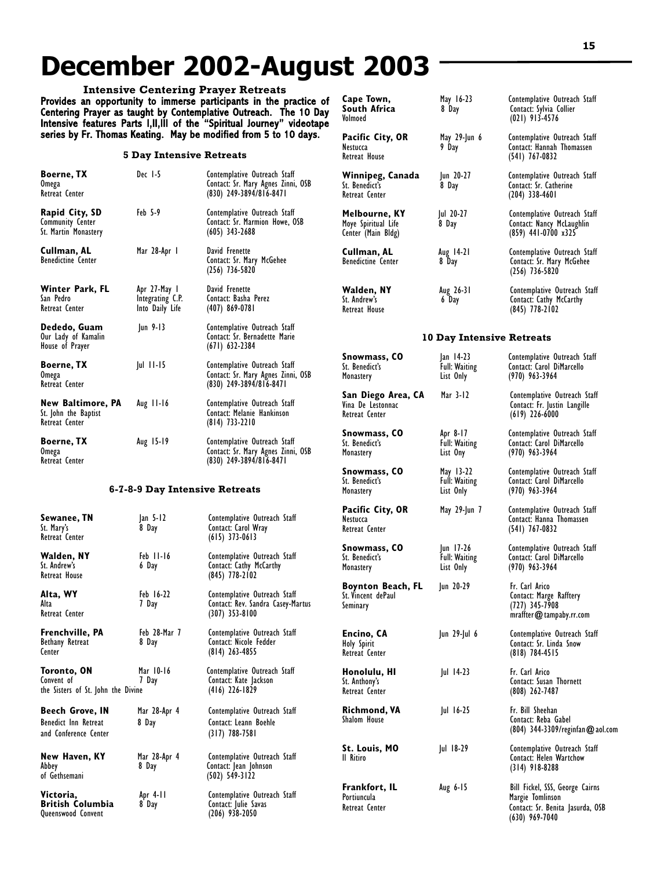## **December 2002-August 2003**

**Intensive Centering Prayer Retreats** Provides an opportunity to immerse participants in the practice of Centering Prayer as taught by Contemplative Outreach. The 10 Day Intensive features Parts I,II,III of the "Spiritual Journey" videotape series by Fr. Thomas Keating. May be modified from 5 to 10 days.

#### **5 Day Intensive Retreats**

| Boerne, TX<br><b>Omega</b><br>Retreat Center                            | Dec 1-5                                             | Contemplative Outreach Staff<br>Contact: Sr. Mary Agnes Zinni, OSB<br>(830) 249-3894/816-8471   | Winnipeg, Canada<br>St. Benedict's<br>Retreat Center       | Jun 20-27<br>8 Day                             | Contemplative Out<br>Contact: Sr. Cather<br>$(204)$ 338-4601                      |
|-------------------------------------------------------------------------|-----------------------------------------------------|-------------------------------------------------------------------------------------------------|------------------------------------------------------------|------------------------------------------------|-----------------------------------------------------------------------------------|
| Rapid City, SD<br><b>Community Center</b><br>St. Martin Monastery       | Feb 5-9                                             | Contemplative Outreach Staff<br>Contact: Sr. Marmion Howe, OSB<br>$(605)$ 343-2688              | Melbourne, KY<br>Moye Spiritual Life<br>Center (Main Bldg) | Jul 20-27<br>8 Day                             | Contemplative Out<br>Contact: Nancy Mc<br>$(859)$ 441-0700 x                      |
| Cullman, AL<br><b>Benedictine Center</b>                                | Mar 28-Apr I                                        | David Frenette<br>Contact: Sr. Mary McGehee<br>$(256)$ 736-5820                                 | Cullman, AL<br><b>Benedictine Center</b>                   | Aug 14-21<br>8 Day                             | Contemplative Out<br>Contact: Sr. Mary<br>$(256)$ 736-5820                        |
| Winter Park, FL<br>San Pedro<br>Retreat Center                          | Apr 27-May 1<br>Integrating C.P.<br>Into Daily Life | David Frenette<br>Contact: Basha Perez<br>$(407)$ 869-0781                                      | Walden, NY<br>St. Andrew's<br>Retreat House                | Aug 26-31<br>6 Day                             | Contemplative Ou<br>Contact: Cathy Mc<br>$(845)$ 778-2102                         |
| Dededo, Guam<br>Our Lady of Kamalin<br>House of Prayer                  | Jun 9-13                                            | Contemplative Outreach Staff<br>Contact: Sr. Bernadette Marie<br>$(671)$ 632-2384               |                                                            | <b>10 Day Intensive Retreats</b>               |                                                                                   |
| <b>Boerne, TX</b><br>0 <sub>mega</sub><br>Retreat Center                | $ ul$ $  l$ - $ 5$                                  | Contemplative Outreach Staff<br>Contact: Sr. Mary Agnes Zinni, OSB<br>$(830)$ 249-3894/816-8471 | Snowmass, CO<br>St. Benedict's<br>Monastery                | Jan 14-23<br><b>Full: Waiting</b><br>List Only | Contemplative Out<br>Contact: Carol DiM<br>$(970)$ 963-3964                       |
| New Baltimore, PA<br>St. John the Baptist<br>Retreat Center             | Aug $11-16$                                         | Contemplative Outreach Staff<br>Contact: Melanie Hankinson<br>$(814)$ 733-2210                  | San Diego Area, CA<br>Vina De Lestonnac<br>Retreat Center  | Mar 3-12                                       | Contemplative Ou<br>Contact: Fr. Justin<br>$(619)$ 226-6000                       |
| <b>Boerne, TX</b><br><b>Omega</b><br>Retreat Center                     | Aug 15-19                                           | Contemplative Outreach Staff<br>Contact: Sr. Mary Agnes Zinni, OSB<br>(830) 249-3894/816-8471   | Snowmass, CO<br>St. Benedict's<br>Monastery                | Apr 8-17<br><b>Full: Waiting</b><br>List Ony   | Contemplative Out<br>Contact: Carol DiM<br>(970) 963-3964                         |
|                                                                         | 6-7-8-9 Day Intensive Retreats                      |                                                                                                 | Snowmass, CO<br>St. Benedict's<br>Monastery                | May 13-22<br><b>Full: Waiting</b><br>List Only | Contemplative Out<br>Contact: Carol DiM<br>$(970)$ 963-3964                       |
| Sewanee, TN<br>St. Mary's<br>Retreat Center                             | Jan 5-12<br>8 Day                                   | Contemplative Outreach Staff<br>Contact: Carol Wray<br>$(615)$ 373-0613                         | Pacific City, OR<br>Nestucca<br>Retreat Center             | May 29-Jun 7                                   | Contemplative Out<br>Contact: Hanna Th<br>$(541)$ 767-0832                        |
| Walden, NY<br>St. Andrew's<br>Retreat House                             | Feb II-I6<br>6 Day                                  | Contemplative Outreach Staff<br>Contact: Cathy McCarthy<br>$(845)$ 778-2102                     | Snowmass, CO<br>St. Benedict's<br>Monastery                | Jun 17-26<br><b>Full: Waiting</b><br>List Only | Contemplative Out<br>Contact: Carol DiM<br>$(970)$ 963-3964                       |
| Alta, WY<br>Alta<br>Retreat Center                                      | Feb 16-22<br>7 Day                                  | Contemplative Outreach Staff<br>Contact: Rev. Sandra Casey-Martus<br>$(307)$ 353-8100           | Boynton Beach, FL<br>St. Vincent dePaul<br>Seminary        | Jun 20-29                                      | Fr. Carl Arico<br>Contact: Marge Ra<br>$(727)$ 345-7908<br>mraffter@tampal        |
| Frenchville, PA<br>Bethany Retreat<br>Center                            | Feb 28-Mar 7<br>8 Day                               | Contemplative Outreach Staff<br>Contact: Nicole Fedder<br>(814) 263-4855                        | Encino, CA<br><b>Holy Spirit</b><br>Retreat Center         | Jun 29-Jul 6                                   | Contemplative Ou<br>Contact: Sr. Linda<br>$(818)$ 784-4515                        |
| Toronto, ON<br>Convent of<br>the Sisters of St. John the Divine         | Mar 10-16<br>7 Day                                  | Contemplative Outreach Staff<br>Contact: Kate Jackson<br>$(416)$ 226-1829                       | Honolulu, HI<br>St. Anthony's<br>Retreat Center            | $ ul$ 14-23                                    | Fr. Carl Arico<br>Contact: Susan Th<br>$(808) 262 - 7487$                         |
| <b>Beech Grove, IN</b><br>Benedict Inn Retreat<br>and Conference Center | Mar 28-Apr 4<br>8 Day                               | Contemplative Outreach Staff<br>Contact: Leann Boehle<br>$(317)$ 788-7581                       | <b>Richmond, VA</b><br>Shalom House                        | Jul 16-25                                      | Fr. Bill Sheehan<br>Contact: Reba Gal<br>$(804)$ 344-3309/r                       |
| New Haven, KY<br>Abbey<br>of Gethsemani                                 | Mar 28-Apr 4<br>8 Day                               | Contemplative Outreach Staff<br>Contact: Jean Johnson                                           | St. Louis, MO<br>Il Ritiro                                 | $ ul$ 18-29                                    | Contemplative Ou<br>Contact: Helen Wa<br>$(314)$ 918-8288                         |
| Victoria,<br><b>British Columbia</b><br>Queenswood Convent              | Apr 4-11<br>8 Day                                   | $(502)$ 549-3122<br>Contemplative Outreach Staff<br>Contact: Julie Savas<br>$(206)$ 938-2050    | Frankfort, IL<br>Portiuncula<br>Retreat Center             | Aug 6-15                                       | Bill Fickel, SSS, Go<br>Margie Tomlinson<br>Contact: Sr. Benita<br>(630) 969.7040 |

| Cape Town,<br>South Africa<br>Volmoed                      | May 16-23<br>8 Day                             | Contemplative Outreach Staff<br>Contact: Sylvia Collier<br>$(021)$ 913-4576              |
|------------------------------------------------------------|------------------------------------------------|------------------------------------------------------------------------------------------|
| Pacific City, OR<br>Nestucca<br>Retreat House              | May 29-Jun 6<br>9 Day                          | Contemplative Outreach Staff<br>Contact: Hannah Thomassen<br>$(541)$ 767-0832            |
| Winnipeg, Canada<br>St. Benedict's<br>Retreat Center       | Jun 20-27<br>8 Day                             | Contemplative Outreach Staff<br>Contact: Sr. Catherine<br>$(204)$ 338-4601               |
| Melbourne, KY<br>Moye Spiritual Life<br>Center (Main Bldg) | Jul 20-27<br>8 Day                             | Contemplative Outreach Staff<br>Contact: Nancy McLaughlin<br>$(859)$ 441-0700 x325       |
| Cullman, AL<br><b>Benedictine Center</b>                   | Aug 14-21<br>8 Day                             | Contemplative Outreach Staff<br>Contact: Sr. Mary McGehee<br>$(256)$ 736-5820            |
| Walden, NY<br>St. Andrew's<br>Retreat House                | Aug 26-31<br>6 Day                             | Contemplative Outreach Staff<br>Contact: Cathy McCarthy<br>$(845)$ 778-2102              |
|                                                            | <b>10 Day Intensive Retreats</b>               |                                                                                          |
| Snowmass, CO<br>St. Benedict's<br>Monastery                | Jan 14-23<br>Full: Waiting<br>List Only        | Contemplative Outreach Staff<br>Contact: Carol DiMarcello<br>$(970)$ 963-3964            |
| San Diego Area, CA<br>Vina De Lestonnac<br>Retreat Center  | Mar 3-12                                       | Contemplative Outreach Staff<br>Contact: Fr. Justin Langille<br>$(619)$ 226-6000         |
| Snowmass, CO<br>St. Benedict's<br>Monastery                | Apr 8-17<br>Full: Waiting<br>List Ony          | Contemplative Outreach Staff<br>Contact: Carol DiMarcello<br>$(970)$ 963-3964            |
| Snowmass, CO<br>St. Benedict's<br>Monastery                | May 13-22<br>Full: Waiting<br>List Only        | Contemplative Outreach Staff<br>Contact: Carol DiMarcello<br>$(970)$ 963-3964            |
| Pacific City, OR<br>Nestucca<br>Retreat Center             | May 29-Jun 7                                   | Contemplative Outreach Staff<br>Contact: Hanna Thomassen<br>$(541)$ 767-0832             |
| Snowmass, CO<br>St. Benedict's<br>Monastery                | Jun 17-26<br><b>Full: Waiting</b><br>List Only | Contemplative Outreach Staff<br>Contact: Carol DiMarcello<br>$(970)$ 963-3964            |
| Boynton Beach, FL<br>St. Vincent dePaul<br>Seminary        | Jun 20-29                                      | Fr. Carl Arico<br>Contact: Marge Rafftery<br>$(727)$ 345-7908<br>mraffter@tampaby.rr.com |
| Encino, CA<br>Holy Spirit<br>Retreat Center                | Jun 29-Jul 6                                   | Contemplative Outreach Staff<br>Contact: Sr. Linda Snow<br>(818) 784-4515                |
| Honolulu, HI<br>St. Anthony's<br>Retreat Center            | Jul 14-23                                      | Fr. Carl Arico<br>Contact: Susan Thornett<br>$(808)$ 262-7487                            |
| Richmond, VA<br>Shalom House                               | $ ul$ 16-25                                    | Fr. Bill Sheehan<br>Contact: Reba Gabel<br>(804) 344-3309/reginfan@aol.com               |
| St. Louis, MO<br>II Ritiro                                 | Jul 18-29                                      | Contemplative Outreach Staff<br>Contact: Helen Wartchow<br>$(314)$ 918-8288              |
| Frankfort, IL                                              | Aug 6-15                                       | Bill Fickel, SSS, George Cairns                                                          |

Contact: Sr. Benita Jasurda, OSB

(630) 969-7040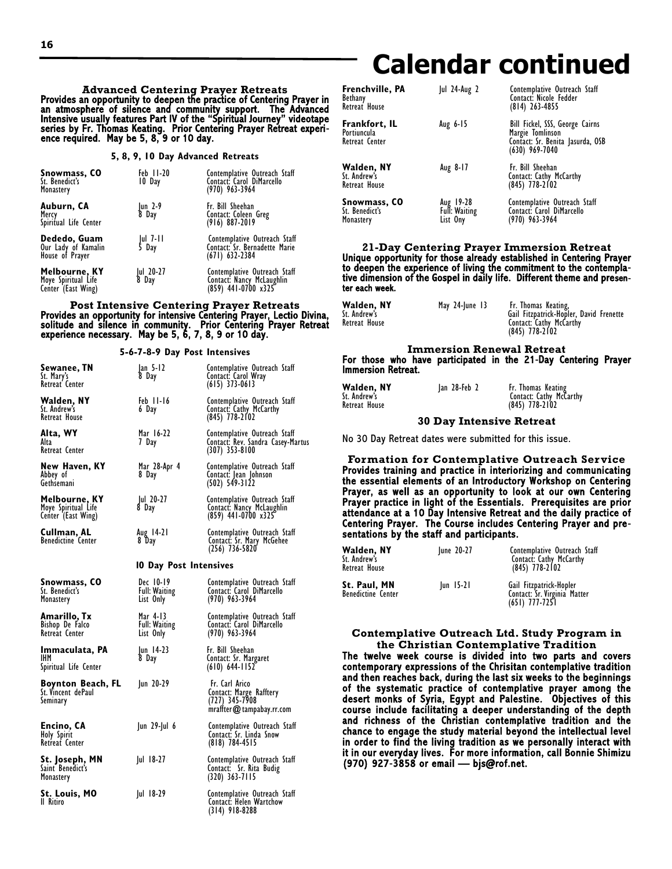## **Calendar continued**

**Advanced Centering Prayer Retreats** Provides an opportunity to deepen the practice of Centering Prayer in an atmosphere of silence and community support. The Advanced Intensive usually features Part IV of the "Spiritual Journey" videotape series by Fr. Thomas Keating. Prior Centering Prayer Retreat experi- ence required. May be 5, 8, 9 or 10 day.

**5, 8, 9, 10 Day Advanced Retreats**

| Snowmass, CO<br>St. Benedict's<br>Monastery                | Feb 11-20<br>10 Day | Contemplative Outreach Staff<br>Contact: Carol DiMarcello<br>(970) 963-3964       |
|------------------------------------------------------------|---------------------|-----------------------------------------------------------------------------------|
| Auburn, CA<br>Mercy<br>Spiritual Life Center               | Jun 2-9<br>8 Day    | Fr. Bill Sheehan<br>Contact: Coleen Greg<br>(916) 887-2019                        |
| Dededo, Guam<br>Our Lady of Kamalin<br>House of Prayer     | Jul 7-11<br>5 Day   | Contemplative Outreach Staff<br>Contact: Sr. Bernadette Marie<br>$(671)$ 632-2384 |
| Melbourne, KY<br>Moye Spiritual Life<br>Center (East Wing) | Jul 20-27<br>8 Day  | Contemplative Outreach Staff<br>Contact: Nancy McLaughlin<br>(859) 441-0700 x325  |

**Post Intensive Centering Prayer Retreats** Provides an opportunity for intensive Centering Prayer, Lectio Divina, solitude and silence in community. Prior Centering Prayer Retreat experience necessary. May be 5, 6, 7, 8, 9 or 10 day.

**5-6-7-8-9 Day Post Intensives**

| Sewanee, TN<br>St. Mary's<br>Retreat Center                | $ an 5-12$<br>8 Day                            | Contemplative Outreach Staff<br>Contact: Carol Wray<br>$(615)$ 373-0613                   |
|------------------------------------------------------------|------------------------------------------------|-------------------------------------------------------------------------------------------|
| Walden, NY<br>St. Andrew's<br>Retreat House                | Feb II-I6<br>6 Day                             | Contemplative Outreach Staff<br>Contact: Cathy McCarthy<br>$(845)$ 778-2102               |
| Alta, WY<br>Alta<br>Retreat Center                         | Mar 16-22<br>7 Day                             | Contemplative Outreach Staff<br>Contact: Rev. Sandra Casey-Martus<br>$(307)$ 353-8100     |
| New Haven, KY<br>Abbey of<br>Gethsemani                    | Mar 28-Apr 4<br>8 Day                          | Contemplative Outreach Staff<br>Contact: Jean Johnson<br>(502) 549-3122                   |
| Melbourne, KY<br>Moye Spiritual Life<br>Center (East Wing) | Jul 20-27<br>8 Day                             | Contemplative Outreach Staff<br>Contact: Nancy McLaughlin<br>(859) 441-0700 x325          |
| Cullman, AL<br><b>Benedictine Center</b>                   | Aug 14-21<br>8 Day                             | Contemplative Outreach Staff<br>Contact: Sr. Mary McGehee<br>$(256)$ 736-5820             |
|                                                            | <b>10 Day Post Intensives</b>                  |                                                                                           |
| Snowmass, CO<br>St. Benedict's<br>Monastery                | Dec 10-19<br><b>Full: Waiting</b><br>List Only | Contemplative Outreach Staff<br>Contact: Carol DiMarcello<br>$(970)$ 963-3964             |
| Amarillo, Tx<br>Bishop De Falco<br>Retreat Center          | Mar 4-13<br>Full: Waiting<br>List Only         | Contemplative Outreach Staff<br>Contact: Carol DiMarcello<br>$(970)$ 963-3964             |
| Immaculata, PA<br>IHM<br>Spiritual Life Center             | Jun 14-23<br>8 Day                             | Fr. Bill Sheehan<br>Contact: Sr. Margaret<br>$(610) 644-1152$                             |
| Boynton Beach, FL<br>St. Vincent dePaul<br>Seminary        | Jun 20-29                                      | Fr. Carl Arico<br>Contact: Marge Rafftery<br>$(727)$ 345-7908<br>mraffter@tampabay.rr.com |
| Encino, CA<br>Holy Spirit<br>Retreat Center                | Jun 29-Jul 6                                   | Contemplative Outreach Staff<br>Contact: Sr. Linda Snow<br>$(818)$ 784-4515               |
| St. Joseph, MN<br>Saint Benedict's<br>Monastery            | $ ul$ 18-27                                    | Contemplative Outreach Staff<br>Contact: Sr. Rita Budig<br>$(320)$ 363-7115               |
| St. Louis, MO<br>II Ritiro                                 | $ ul$ 18-29                                    | Contemplative Outreach Staff<br>Contact: Helen Wartchow                                   |

(314) 918-8288

| Frenchville, PA<br>Bethany<br>Retreat House        | <b>Jul 24-Aug 2</b>                    | Contemplative Outreach Staff<br>Contact: Nicole Fedder<br>$(814)$ 263-4855                                  |
|----------------------------------------------------|----------------------------------------|-------------------------------------------------------------------------------------------------------------|
| Frankfort, IL<br>Portiuncula<br>Retreat Center     | Aug 6-15                               | Bill Fickel, SSS, George Cairns<br>Margie Tomlinson<br>Contact: Sr. Benita Jasurda, OSB<br>$(630)$ 969-7040 |
| Walden, NY<br>St. Andrew's<br><b>Retreat House</b> | Aug 8-17                               | Fr. Bill Sheehan<br>Contact: Cathy McCarthy<br>$(845)$ 778-2102                                             |
| Snowmass, CO<br>St. Benedict's<br>Monastery        | Aug 19-28<br>Full: Waiting<br>List Ony | Contemplative Outreach Staff<br>Contact: Carol DiMarcello<br>(970) 963-3964                                 |

**21-Day Centering Prayer Immersion Retreat** Unique opportunity for those already established in Centering Prayer to deepen the experience of living the commitment to the contempla- tive dimension of the Gospel in daily life. Different theme and presenter each week.

| Walden, NY<br>May 24-June 13<br>Fr. Thomas Keating,<br>St. Andrew's<br>Contact: Cathy McCarthy<br>Retreat House<br>$(845)$ 778-2102 | Gail Fitzpatrick-Hopler, David Frenette |
|-------------------------------------------------------------------------------------------------------------------------------------|-----------------------------------------|
|-------------------------------------------------------------------------------------------------------------------------------------|-----------------------------------------|

#### **Immersion Renewal Retreat** For those who have participated in the 21-Day Centering Prayer Immersion Retreat.

| Walden, NY    | lan 28-Feb 2 | Fr. Thomas Keating      |
|---------------|--------------|-------------------------|
| St. Andrew's  |              | Contact: Cathy McCarthy |
| Retreat House |              | $(845)$ 778-2102        |

#### **30 Day Intensive Retreat**

No 30 Day Retreat dates were submitted for this issue.

**Formation for Contemplative Outreach Service** Provides training and practice in interiorizing and communicating the essential elements of an Introductory Workshop on Centering Prayer, as well as an opportunity to look at our own Centering Prayer practice in light of the Essentials. Prerequisites are prior attendance at a 10 Day Intensive Retreat and the daily practice of Centering Prayer. The Course includes Centering Prayer and pre- sentations by the staff and participants.

| Walden, NY<br>St. Andrew's<br>Retreat House | June 20-27  | Contemplative Outreach Staff<br>Contact: Cathy McCarthy<br>$(845)$ 778-2102 |
|---------------------------------------------|-------------|-----------------------------------------------------------------------------|
| St. Paul, MN<br>Benedictine Center          | $ un 15-2 $ | Gail Fitzpatrick-Hopler<br>Contact: Sr. Virginia Matter<br>$(651)$ 777-7251 |

#### **Contemplative Outreach Ltd. Study Program in the Christian Contemplative Tradition**

The twelve week course is divided into two parts and covers contemporary expressions of the Chrisitan contemplative tradition and then reaches back, during the last six weeks to the beginnings of the systematic practice of contemplative prayer among the desert monks of Syria, Egypt and Palestine. Objectives of this course include facilitating a deeper understanding of the depth and richness of the Christian contemplative tradition and the chance to engage the study material beyond the intellectual level in order to find the living tradition as we personally interact with it in our everyday lives. For more information, call Bonnie Shimizu (970) 927-3858 or email — bjs@rof.net.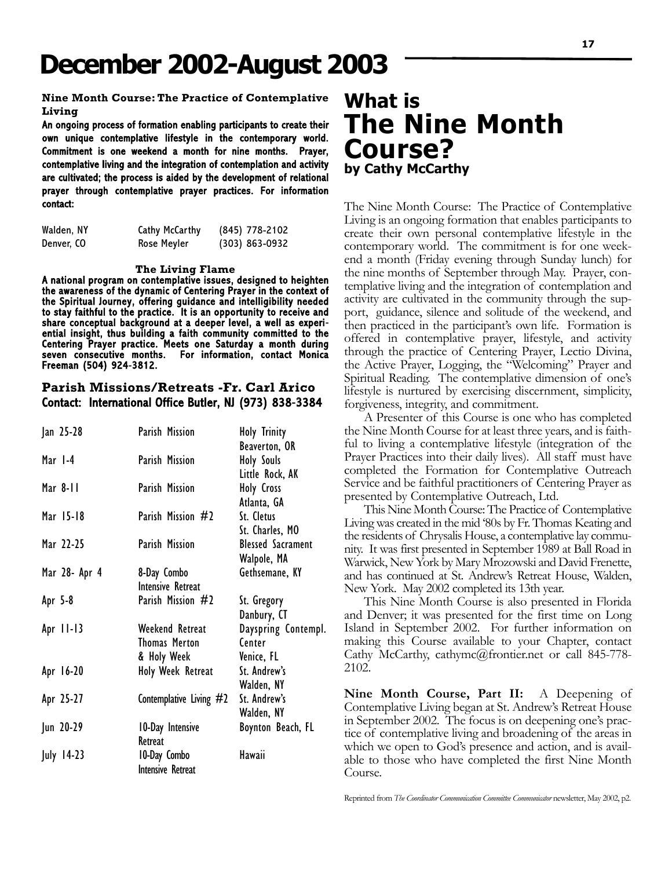## **December 2002-August 2003**

#### **Nine Month Course: The Practice of Contemplative Living**

An ongoing process of formation enabling participants to create their own unique contemplative lifestyle in the contemporary world. Commitment is one weekend a month for nine months. Prayer, contemplative living and the integration of contemplation and activity are cultivated; the process is aided by the development of relational prayer through contemplative prayer practices. For information contact:

| Walden, NY | Cathy McCarthy | (845) 778-2102 |
|------------|----------------|----------------|
| Denver, CO | Rose Meyler    | (303) 863-0932 |

#### **The Living Flame**

A national program on contemplative issues, designed to heighten the awareness of the dynamic of Centering Prayer in the context of the Spiritual Journey, offering guidance and intelligibility needed to stay faithful to the practice. It is an opportunity to receive and share conceptual background at a deeper level, a well as experiential insight, thus building a faith community committed to the Centering Prayer practice. Meets one Saturday a month during seven consecutive months. For information, contact Monica Freeman (504) 924-3812.

#### **Parish Missions/Retreats -Fr. Carl Arico** Contact: International Office Butler, NJ (973) 838-3384

| Jan 25-28     | Parish Mission            | <b>Holy Trinity</b>      |
|---------------|---------------------------|--------------------------|
|               |                           | Beaverton, OR            |
| Mar 1-4       | Parish Mission            | Holy Souls               |
|               |                           | Little Rock, AK          |
| Mar 8-11      | Parish Mission            | Holy Cross               |
|               |                           | Atlanta, GA              |
| Mar 15-18     | Parish Mission #2         | St. Cletus               |
|               |                           | St. Charles, MO          |
| Mar 22-25     | Parish Mission            | <b>Blessed Sacrament</b> |
|               |                           | Walpole, MA              |
| Mar 28- Apr 4 | 8-Day Combo               | Gethsemane, KY           |
|               | Intensive Retreat         |                          |
| Apr 5-8       | Parish Mission #2         | St. Gregory              |
|               |                           | Danbury, CT              |
| Apr 11-13     | Weekend Retreat           | Dayspring Contempl.      |
|               | <b>Thomas Merton</b>      | Center                   |
|               | & Holy Week               | Venice, FL               |
| Apr 16-20     | Holy Week Retreat         | St. Andrew's             |
|               |                           | Walden, NY               |
| Apr 25-27     | Contemplative Living $#2$ | St. Andrew's             |
|               |                           | Walden, NY               |
| Jun 20-29     | 10-Day Intensive          | Boynton Beach, FL        |
|               | Retreat                   |                          |
| July 14-23    | 10-Day Combo              | Hawaii                   |
|               | <b>Intensive Retreat</b>  |                          |

### **What is The Nine Month Course? by Cathy McCarthy**

The Nine Month Course: The Practice of Contemplative Living is an ongoing formation that enables participants to create their own personal contemplative lifestyle in the contemporary world. The commitment is for one weekend a month (Friday evening through Sunday lunch) for the nine months of September through May. Prayer, contemplative living and the integration of contemplation and activity are cultivated in the community through the support, guidance, silence and solitude of the weekend, and then practiced in the participant's own life. Formation is offered in contemplative prayer, lifestyle, and activity through the practice of Centering Prayer, Lectio Divina, the Active Prayer, Logging, the "Welcoming" Prayer and Spiritual Reading. The contemplative dimension of one's lifestyle is nurtured by exercising discernment, simplicity, forgiveness, integrity, and commitment.

A Presenter of this Course is one who has completed the Nine Month Course for at least three years, and is faithful to living a contemplative lifestyle (integration of the Prayer Practices into their daily lives). All staff must have completed the Formation for Contemplative Outreach Service and be faithful practitioners of Centering Prayer as presented by Contemplative Outreach, Ltd.

This Nine Month Course: The Practice of Contemplative Living was created in the mid '80s by Fr. Thomas Keating and the residents of Chrysalis House, a contemplative lay community. It was first presented in September 1989 at Ball Road in Warwick, New York by Mary Mrozowski and David Frenette, and has continued at St. Andrew's Retreat House, Walden, New York. May 2002 completed its 13th year.

This Nine Month Course is also presented in Florida and Denver; it was presented for the first time on Long Island in September 2002. For further information on making this Course available to your Chapter, contact Cathy McCarthy, cathymc@frontier.net or call 845-778- 2102.

**Nine Month Course, Part II:** A Deepening of Contemplative Living began at St. Andrew's Retreat House in September 2002. The focus is on deepening one's practice of contemplative living and broadening of the areas in which we open to God's presence and action, and is available to those who have completed the first Nine Month Course.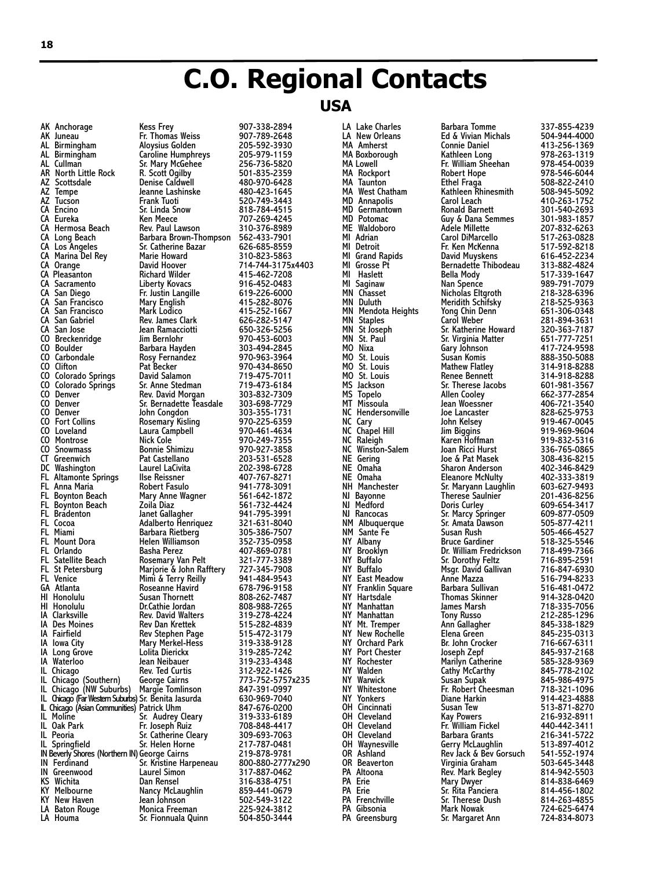## **C.O. Regional Contacts**

#### **USA**

AK Anchorage Kess Frey 907-338-2894 AZ Tempe Jeanne Lashinske 480-423-1645 CA Pleasanton Richard Wilder<br>CA Sacramento Liberty Kovacs CA San Francisco Mark Lodico 415-252-1667 CO Carbondale Rosy Fernandez<br>CO Clifton Pat Becker CO Loveland Laura Campbell<br>CO Montrose Nick Cole CO Snowmass Bonnie Shimizu<br>CT Greenwich Pat Castellano FL Boynton Beach Zoila Diaz 561-732-4424 FL Mount Dora Helen Williamson<br>FL Orlando Basha Perez GA Atlanta Roseanne Havird 678-796-9158 IA Iowa City Mary Merkel-Hess 319-338-9128 IN Greenwood Laurel Simon 317-887-0462 KY Melbourne Nancy McLaughlin 859-441-0679

Fr. Thomas Weiss 907-789-2648<br>Aloysius Golden 205-592-3930 AL Birmingham Aloysius Golden 205-592-3930 AL Birmingham Caroline Humphreys 205-979-1159 AL Cullman Sr. Mary McGehee 256-736-5820 AR North Little Rock R. Scott Ogilby 501-835-2359 AZ Scottsdale Denise Caldwell 480-970-6428 AZ Tucson Frank Tuoti 520-749-3443 CA Encino Sr. Linda Snow 818-784-4515 Eureka Ken Meece 107-269-4245<br>Rev. Paul Lawson 110-376-8989 CA Hermosa Beach Rev. Paul Lawson 310-376-8989<br>CA Long Beach Barbara Brown-Thompson 562-433-7901 Barbara Brown-Thompson 562-433-7901<br>Sr. Catherine Bazar 626-685-8559 CA Los Angeles Sr. Catherine Bazar 626-685-8559 CA Marina Del Rey Marie Howard 310-823-5863 CA Orange David Hoover 714-744-3175x4403 CA Sacramento Liberty Kovacs 916-452-0483 CA San Diego Fr. Justin Langille 619-226-6000 CA San Francisco Mary English 415-282-8076 CA San Gabriel Rev. James Clark 626-282-5147 CA San Jose Jean Ramacciotti 650-326-5256 CO Breckenridge Jim Bernlohr 970-453-6003 CO Boulder Barbara Hayden 303-494-2845 CO Clifton Pat Becker 970-434-8650 CO Colorado Springs David Salamon 719-475-7011 CO Colorado Springs Sr. Anne Stedman 719-473-6184 CO Denver The Rev. David Morgan 303-832-7309<br>CO Denver The Sr. Bernadette Teasdale 303-698-7729 CO Denver Sr. Bernadette Teasdale 303-698-7729 CO Denver John Congdon 303-355-1731 CO Fort Collins Rosemary Kisling 970-225-6359 CO Montrose Nick Cole 970-249-7355 CT Greenwich Pat Castellano 203-531-6528 DC Washington Laurel LaCivita 202-398-6728 FL Altamonte Springs Ilse Reissner 407-767-8271 FL Anna Maria Robert Fasulo 941-778-3091 Mary Anne Wagner 561-642-1872<br>Toila Diaz 561-732-4424 FL Bradenton Janet Gallagher 941-795-3991 FL Cocoa Adalberto Henriquez 321-631-8040 FL Miami Barbara Rietberg 305-386-7507 FL Orlando Basha Perez 407-869-0781 FL Satellite Beach Rosemary Van Pelt 321-777-3389 FL St Petersburg Marjorie & John Rafftery 727-345-7908 FL Venice Mimi & Terry Reilly 941-484-9543 HI Honolulu Susan Thornett 808-262-7487 HI Honolulu Dr.Cathie Jordan 808-988-7265 IA Clarksville Rev. David Walters 319-278-4224 IA Des Moines Rev Dan Krettek 515-282-4839 IA Fairfield Rev Stephen Page 515-472-3179 IA Long Grove Lolita Dierickx 319-285-7242 IA Waterloo Jean Neibauer 319-233-4348 IL Chicago Rev. Ted Curtis 312-922-1426 IL Chicago (Southern) George Cairns 773-752-5757x235 IL Chicago (NW Suburbs) Margie Tomlinson 847-391-0997 IL Chicago (Far Western Suburbs)Sr. Benita Jasurda 630-969-7040 IL Chicago (Asian Communities) Patrick Uhm 847-676-0200 IL Moline Sr. Audrey Cleary 319-333-6189 IL Oak Park Fr. Joseph Ruiz 708-848-4417 IL Peoria Sr. Catherine Cleary 309-693-7063 IL Springfield Sr. Helen Horne 217-787-0481 IN Beverly Shores (Northern IN)George Cairns 219-878-9781 IN Ferdinand Sr. Kristine Harpeneau 800-880-2777x290 KS Wichita Dan Rensel 316-838-4751 KY New Haven Jean Johnson 502-549-3122 LA Baton Rouge Monica Freeman 225-924-3812 Sr. Fionnuala Quinn

LA New Orleans Ed & Vivian Michals 504-944-4000 MA Rockport Robert Hope 978-546-6044 MA West Chatham Kathleen Rhinesmith 508-945-5092 MD Potomac Guy & Dana Semmes 301-983-1857 MN Mendota Heights Yong Chin Denn 651-306-0348 MO Nixa Gary Johnson 417-724-9598 MO St. Louis Mathew Flatley<br>1914 MO St. Louis Mo Renee Bennett MS Jackson Sr. Therese Jacobs 601-981-3567 NC Hendersonville Joe Lancaster<br>NC Cary John Kelsey NJ Bayonne Therese Saulnier 201-436-8256 NY Buffalo Msgr. David Gallivan<br>NY East Meadow Anne Mazza NY Hartsdale Thomas Skinner<br>NY Manhattan James Marsh NY Manhattan Tony Russo 212-285-1296 NY Orchard Park Br. John Crocker<br>NY Port Chester 10-65 - Joseph Zepf NY Walden Cathy McCarthy 845-778-2102 NY Whitestone Fr. Robert Cheesman 718-321-1096 PA Altoona Rev. Mark Begley 814-942-5503 PA Frenchville Sr. Therese Dush 814-263-4855

LA Lake Charles Barbara Tomme 337-855-4239 MA Amherst Connie Daniel 413-256-1369 MA Boxborough Kathleen Long 978-263-1319 MA Lowell Fr. William Sheehan 978-454-0039 MA Taunton Ethel Fraga 508-822-2410 MD Annapolis Carol Leach 410-263-1752 MD Germantown Ronald Barnett 301-540-2693 ME Waldoboro Adele Millette 207-832-6263 MI Adrian Carol DiMarcello 517-263-0828 MI Detroit Fr. Ken McKenna 517-592-8218 MI Grand Rapids David Muyskens 616-452-2234 MI Grosse Pt<sup>.</sup> Bernadette Thibodeau <br>MI Haslett Bella Mody MI Haslett Bella Mody 517-339-1647 MI Saginaw Nan Spence 989-791-7079 MN Chasset Nicholas Eltgroth 218-328-6396 MN Duluth Meridith Schifsky 218-525-9363 MN Staples Carol Weber 281-894-3631 MN St Joseph Sr. Katherine Howard 320-363-7187 MN St. Paul Sr. Virginia Matter 651-777-7251 MO St. Louis Susan Komis 888-350-5088 MO St. Louis Renee Bennett 314-918-8288 MS Topelo Allen Cooley 662-377-2854 MT Missoula Jean Woessner 406-721-3540 NC Cary John Kelsey 919-467-0045 NC Chapel Hill Jim Biggins 919-969-9604 NC Raleigh Karen Hoffman 919-832-5316 NC Winston-Salem Joan Ricci Hurst 336-765-0865 NE Gering Joe & Pat Masek 308-436-8215 NE Omaha Sharon Anderson 402-346-8429 NE Omaha Eleanore McNulty 402-333-3819 NH Manchester Sr. Maryann Laughlin 603-627-9493 NJ Medford Doris Curley 609-654-3417 NJ Rancocas Sr. Marcy Springer 609-877-0509 NM Albuquerque Sr. Amata Dawson 505-877-4211 NM Sante Fe Susan Rush 505-466-4527 NY Albany Bruce Gardiner 518-325-5546 NY Brooklyn Dr. William Fredrickson 718-499-7366 NY Buffalo Sr. Dorothy Feltz 716-895-2591 NY East Meadow Anne Mazza 516-794-8233 NY Franklin Square Barbara Sullivan 516-481-0472 NY Manhattan James Marsh 718-335-7056 NY Mt. Tremper Ann Gallagher 845-338-1829 NY New Rochelle Elena Green 845-235-0313 NY Port Chester Joseph Zepf 845-937-2168 NY Rochester Marilyn Catherine 585-328-9369 NY Warwick Susan Supak 845-986-4975 NY Yonkers Diane Harkin 914-423-4888 OH Cincinnati Susan Tew 513-871-8270 OH Cleveland Kay Powers 216-932-8911 OH Cleveland Fr. William Fickel 440-442-3411<br>OH Cleveland Barbara Grants 216-341-5722 OH Cleveland Barbara Grants 216-341-5722 OH Waynesville Gerry McLaughlin 513-897-4012 OR Ashland Rev Jack & Bev Gorsuch 541-552-1974 OR Beaverton Virginia Graham 503-645-3448 PA Erie Mary Dwyer 814-838-6469 PA Erie Sr. Rita Panciera 814-456-1802 PA Gibsonia Mark Nowak 724-625-6474 Sr. Margaret Ann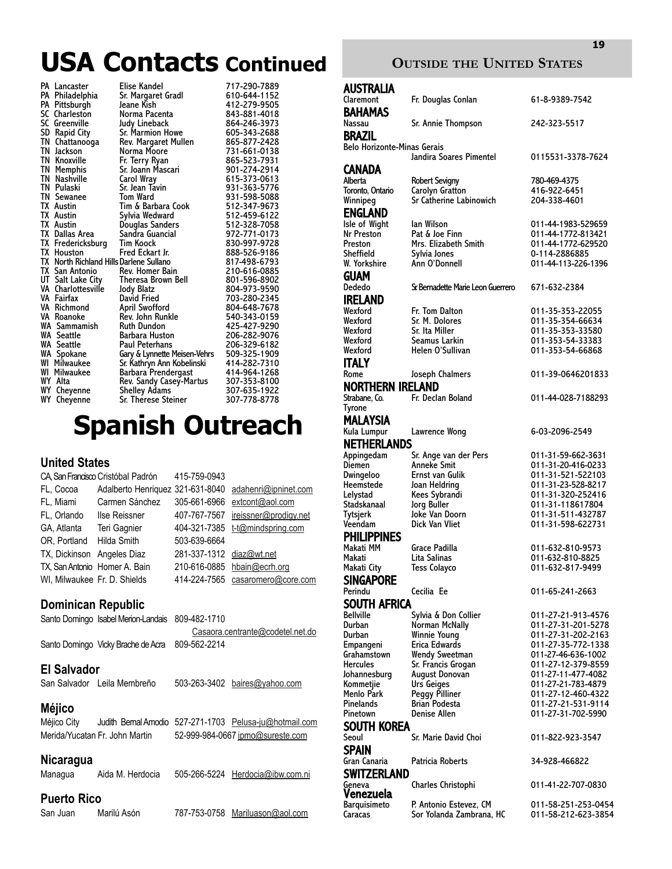## **USA Contacts Continued**

|    | <b>PA</b> Lancaster                     | Elise Kandel                 | 717-290-7889 |
|----|-----------------------------------------|------------------------------|--------------|
|    | PA Philadelphia                         | Sr. Margaret Gradl           | 610-644-1152 |
|    | PA Pittsburgh                           | Jeane Kish                   | 412-279-9505 |
|    | SC Charleston                           | Norma Pacenta                | 843-881-4018 |
|    | SC Greenville                           | Judy Lineback                | 864-246-3973 |
| SD | Rapid City                              | <b>Sr. Marmion Howe</b>      | 605-343-2688 |
|    | TN Chattanooga                          | Rev. Margaret Mullen         | 865-877-2428 |
|    | TN Jackson                              | Norma Moore                  | 731-661-0138 |
|    | <b>TN Knoxville</b>                     | Fr. Terry Ryan               | 865-523-7931 |
|    | <b>TN Memphis</b>                       | Sr. Joann Mascari            | 901-274-2914 |
|    | <b>TN</b> Nashville                     | Carol Wray                   | 615-373-0613 |
|    | TN Pulaski                              | Sr. Jean Tavin               | 931-363-5776 |
|    | TN Sewanee                              | <b>Tom Ward</b>              | 931-598-5088 |
|    | <b>TX</b> Austin                        | Tim & Barbara Cook           | 512-347-9673 |
|    | <b>TX</b> Austin                        | Sylvia Wedward               | 512-459-6122 |
|    | <b>TX</b> Austin                        | Douglas Sanders              | 512-328-7058 |
|    | TX Dallas Area                          | Sandra Guancial              | 972-771-0173 |
|    | TX Fredericksburg                       | Tim Koock                    | 830-997-9728 |
|    | <b>TX</b> Houston                       | Fred Eckart Jr.              | 888-526-9186 |
|    | TX North Richland Hills Darlene Sullano |                              | 817-498-6793 |
|    | TX San Antonio                          | Rev. Homer Bain              | 210-616-0885 |
|    | UT Salt Lake City                       | Theresa Brown Bell           | 801-596-8902 |
|    | <b>VA Charlottesville</b>               | Jody Blatz                   | 804-973-9590 |
|    | VA Fairfax                              | <b>David Fried</b>           | 703-280-2345 |
|    | <b>VA Richmond</b>                      | April Swofford               | 804-648-7678 |
|    | VA Roanoke                              | Rev. John Runkle             | 540-343-0159 |
|    | WA Sammamish                            | <b>Ruth Dundon</b>           | 425-427-9290 |
|    | <b>WA Seattle</b>                       | <b>Barbara Huston</b>        | 206-282-9076 |
|    | <b>WA Seattle</b>                       | <b>Paul Peterhans</b>        | 206-329-6182 |
|    | WA Spokane                              | Gary & Lynnette Meisen-Vehrs | 509-325-1909 |
|    | WI Milwaukee                            | Sr. Kathryn Ann Kobelinski   | 414-282-7310 |
|    | <b>WI Milwaukee</b>                     | Barbara Prendergast          | 414-964-1268 |
|    | WY Alta                                 | Rev. Sandy Casey-Martus      | 307-353-8100 |
|    | WY Cheyenne                             | <b>Shelley Adams</b>         | 307-635-1922 |
|    | WY Cheyenne                             | Sr. Therese Steiner          | 307-778-8778 |

## **Spanish Outreach**

#### **United States**

|                              | CA, San Francisco Cristóbal Padrón | 415-759-0943             |                                                       |
|------------------------------|------------------------------------|--------------------------|-------------------------------------------------------|
| FL, Cocoa                    |                                    |                          | Adalberto Henriquez 321-631-8040 adahenri@ipninet.com |
| FL, Miami                    | Carmen Sánchez                     | 305-661-6966             | extcont@aol.com                                       |
| FL, Orlando                  | Ilse Reissner                      |                          | 407-767-7567 ireissner@prodigy.net                    |
| GA, Atlanta                  | Teri Gagnier                       |                          | 404-321-7385 t-t@mindspring.com                       |
| OR, Portland                 | Hilda Smith                        | 503-639-6664             |                                                       |
| TX, Dickinson Angeles Diaz   |                                    | 281-337-1312 diaz@wt.net |                                                       |
|                              | TX, San Antonio Homer A. Bain      |                          | 210-616-0885 hbain@ecrh.org                           |
| WI, Milwaukee Fr. D. Shields |                                    |                          | 414-224-7565 casaromero@core.com                      |
|                              |                                    |                          |                                                       |

### **Dominican Republic**

| Santo Domingo Isabel Merion-Landais 809-482-1710 |                                  |
|--------------------------------------------------|----------------------------------|
|                                                  | Casaora.centrante@codetel.net.do |
| Santo Domingo Vicky Brache de Acra 809-562-2214  |                                  |
|                                                  |                                  |

#### **El Salvador**

San Salvador Leila Membreño 503-263-3402 baires@yahoo.com

#### **Méjico**

Méjico City Judith Bernal Amodio 527-271-1703 Pelusa-ju@hotmail.com Merida/Yucatan Fr. John Martin 52-999-984-0667 jpmo@sureste.com

#### **Nicaragua**

Managua Aida M. Herdocia 505-266-5224 Herdocia@ibw.com.ni

#### **Puerto Rico**

San Juan Marilú Asón 787-753-0758 Mariluason@aol.com

#### **OUTSIDE THE UNITED STATES**

| <b>AUSTRALIA</b>             |                                              |                                          |  |  |  |  |  |
|------------------------------|----------------------------------------------|------------------------------------------|--|--|--|--|--|
| Claremont                    | Fr. Douglas Conlan                           | 61-8-9389-7542                           |  |  |  |  |  |
| <b>BAHAMAS</b>               |                                              |                                          |  |  |  |  |  |
| Nassau                       | Sr. Annie Thompson                           | 242-323-5517                             |  |  |  |  |  |
|                              | <b>BRAZIL</b><br>Belo Horizonte-Minas Gerais |                                          |  |  |  |  |  |
|                              | Jandira Soares Pimentel                      | 0115531-3378-7624                        |  |  |  |  |  |
| CANADA                       |                                              |                                          |  |  |  |  |  |
| Alberta                      | Robert Sevigny                               | 780-469-4375                             |  |  |  |  |  |
| Toronto, Ontario<br>Winnipeg | Carolyn Gratton<br>Sr Catherine Labinowich   | 416-922-6451<br>204-338-4601             |  |  |  |  |  |
| <b>ENGLAND</b>               |                                              |                                          |  |  |  |  |  |
| Isle of Wight                | lan Wilson                                   | 011-44-1983-529659                       |  |  |  |  |  |
| Nr Preston<br>Preston        | Pat & Joe Finn<br>Mrs. Elizabeth Smith       | 011-44-1772-813421<br>011-44-1772-629520 |  |  |  |  |  |
| Sheffield                    | Sylvia Jones                                 | 0-114-2886885                            |  |  |  |  |  |
| W. Yorkshire                 | Ann O'Donnell                                | 011-44-113-226-1396                      |  |  |  |  |  |
| GUAM                         |                                              |                                          |  |  |  |  |  |
| Dededo                       | Sr. Bernadette Marie Leon Guerrero           | 671-632-2384                             |  |  |  |  |  |
| <b>IRELAND</b>               |                                              |                                          |  |  |  |  |  |
| Wexford<br>Wexford           | Fr. Tom Dalton<br>Sr. M. Dolores             | 011-35-353-22055<br>011-35-354-66634     |  |  |  |  |  |
| Wexford                      | Sr. Ita Miller                               | 011-35-353-33580                         |  |  |  |  |  |
| Wexford                      | Seamus Larkin<br>Helen O'Sullivan            | 011-353-54-33383<br>011-353-54-66868     |  |  |  |  |  |
| Wexford<br><b>ITALY</b>      |                                              |                                          |  |  |  |  |  |
| Rome                         | Joseph Chalmers                              | 011-39-0646201833                        |  |  |  |  |  |
| <b>NORTHERN IRELAND</b>      |                                              |                                          |  |  |  |  |  |
| Strabane, Co.                | Fr. Declan Boland                            | 011-44-028-7188293                       |  |  |  |  |  |
| <b>Tyrone</b>                |                                              |                                          |  |  |  |  |  |
| MALAYSIA<br>Kula Lumpur      | Lawrence Wong                                | 6-03-2096-2549                           |  |  |  |  |  |
| <b>NETHERLANDS</b>           |                                              |                                          |  |  |  |  |  |
| Appingedam                   | Sr. Ange van der Pers                        | 011-31-59-662-3631                       |  |  |  |  |  |
| Diemen                       | Anneke Smit                                  | 011-31-20-416-0233                       |  |  |  |  |  |
| Dwingeloo<br>Heemstede       | Ernst van Gulik<br>Joan Heldring             | 011-31-521-522103<br>011-31-23-528-8217  |  |  |  |  |  |
| Lelystad                     | Kees Sybrandi                                | 011-31-320-252416                        |  |  |  |  |  |
| Stadskanaal                  | Jorg Buller                                  | 011-31-118617804                         |  |  |  |  |  |
| Tytsjerk<br>Veendam          | Joke Van Doorn<br>Dick Van Vliet             | 011-31-511-432787<br>011-31-598-622731   |  |  |  |  |  |
| <b>PHILIPPINES</b>           |                                              |                                          |  |  |  |  |  |
| Makati MM                    | Grace Padilla                                | 011-632-810-9573                         |  |  |  |  |  |
| Makati                       | Lita Salinas                                 | 011-632-810-8825                         |  |  |  |  |  |
| Makati City                  | <b>Tess Colayco</b>                          | 011-632-817-9499                         |  |  |  |  |  |
| <b>SINGAPORE</b><br>Perindu  | Cecilia Ee                                   | 011-65-241-2663                          |  |  |  |  |  |
| SOUTH AFRICA                 |                                              |                                          |  |  |  |  |  |
| <b>Bellville</b>             | Sylvia & Don Collier                         | 011-27-21-913-4576                       |  |  |  |  |  |
| Durban<br>Durban             | Norman McNally                               | 011-27-31-201-5278                       |  |  |  |  |  |
| Empangeni                    | <b>Winnie Young</b><br>Erica Edwards         | 011-27-31-202-2163<br>011-27-35-772-1338 |  |  |  |  |  |
| Grahamstown                  | <b>Wendy Sweetman</b>                        | 011-27-46-636-1002                       |  |  |  |  |  |
| <b>Hercules</b>              | Sr. Francis Grogan                           | 011-27-12-379-8559                       |  |  |  |  |  |
| Johannesburg<br>Kommetjie    | <b>August Donovan</b><br>Urs Geiges          | 011-27-11-477-4082<br>011-27-21-783-4879 |  |  |  |  |  |
| Menlo Park                   | Peggy Pilliner                               | 011-27-12-460-4322                       |  |  |  |  |  |
| Pinelands                    | <b>Brian Podesta</b>                         | 011-27-21-531-9114                       |  |  |  |  |  |
| Pinetown<br>SOUTH KOREA      | Denise Allen                                 | 011-27-31-702-5990                       |  |  |  |  |  |
| Seoul                        | Sr. Marie David Choi                         | 011-822-923-3547                         |  |  |  |  |  |
| <b>SPAIN</b>                 |                                              |                                          |  |  |  |  |  |
| Gran Canaria                 | Patricia Roberts                             | 34-928-466822                            |  |  |  |  |  |
| <b>SWITZERLAND</b>           |                                              |                                          |  |  |  |  |  |
| Geneva<br>Venezuela          | Charles Christophi                           | 011-41-22-707-0830                       |  |  |  |  |  |
| Barquisimeto                 | P. Antonio Estevez, CM                       | 011-58-251-253-0454                      |  |  |  |  |  |
| Caracas                      | Sor Yolanda Zambrana, HC                     | 011-58-212-623-3854                      |  |  |  |  |  |